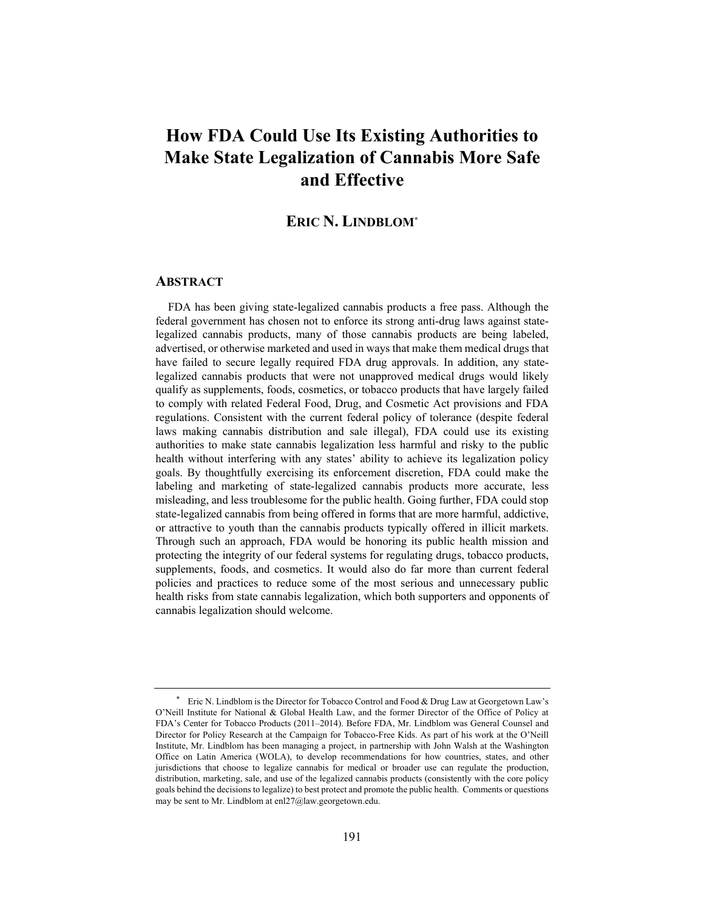# **How FDA Could Use Its Existing Authorities to Make State Legalization of Cannabis More Safe and Effective**

### **ERIC N. LINDBLOM\***

#### **ABSTRACT**

FDA has been giving state-legalized cannabis products a free pass. Although the federal government has chosen not to enforce its strong anti-drug laws against statelegalized cannabis products, many of those cannabis products are being labeled, advertised, or otherwise marketed and used in ways that make them medical drugs that have failed to secure legally required FDA drug approvals. In addition, any statelegalized cannabis products that were not unapproved medical drugs would likely qualify as supplements, foods, cosmetics, or tobacco products that have largely failed to comply with related Federal Food, Drug, and Cosmetic Act provisions and FDA regulations. Consistent with the current federal policy of tolerance (despite federal laws making cannabis distribution and sale illegal), FDA could use its existing authorities to make state cannabis legalization less harmful and risky to the public health without interfering with any states' ability to achieve its legalization policy goals. By thoughtfully exercising its enforcement discretion, FDA could make the labeling and marketing of state-legalized cannabis products more accurate, less misleading, and less troublesome for the public health. Going further, FDA could stop state-legalized cannabis from being offered in forms that are more harmful, addictive, or attractive to youth than the cannabis products typically offered in illicit markets. Through such an approach, FDA would be honoring its public health mission and protecting the integrity of our federal systems for regulating drugs, tobacco products, supplements, foods, and cosmetics. It would also do far more than current federal policies and practices to reduce some of the most serious and unnecessary public health risks from state cannabis legalization, which both supporters and opponents of cannabis legalization should welcome.

Eric N. Lindblom is the Director for Tobacco Control and Food & Drug Law at Georgetown Law's O'Neill Institute for National & Global Health Law, and the former Director of the Office of Policy at FDA's Center for Tobacco Products (2011–2014). Before FDA, Mr. Lindblom was General Counsel and Director for Policy Research at the Campaign for Tobacco-Free Kids. As part of his work at the O'Neill Institute, Mr. Lindblom has been managing a project, in partnership with John Walsh at the Washington Office on Latin America (WOLA), to develop recommendations for how countries, states, and other jurisdictions that choose to legalize cannabis for medical or broader use can regulate the production, distribution, marketing, sale, and use of the legalized cannabis products (consistently with the core policy goals behind the decisions to legalize) to best protect and promote the public health. Comments or questions may be sent to Mr. Lindblom at enl27@law.georgetown.edu.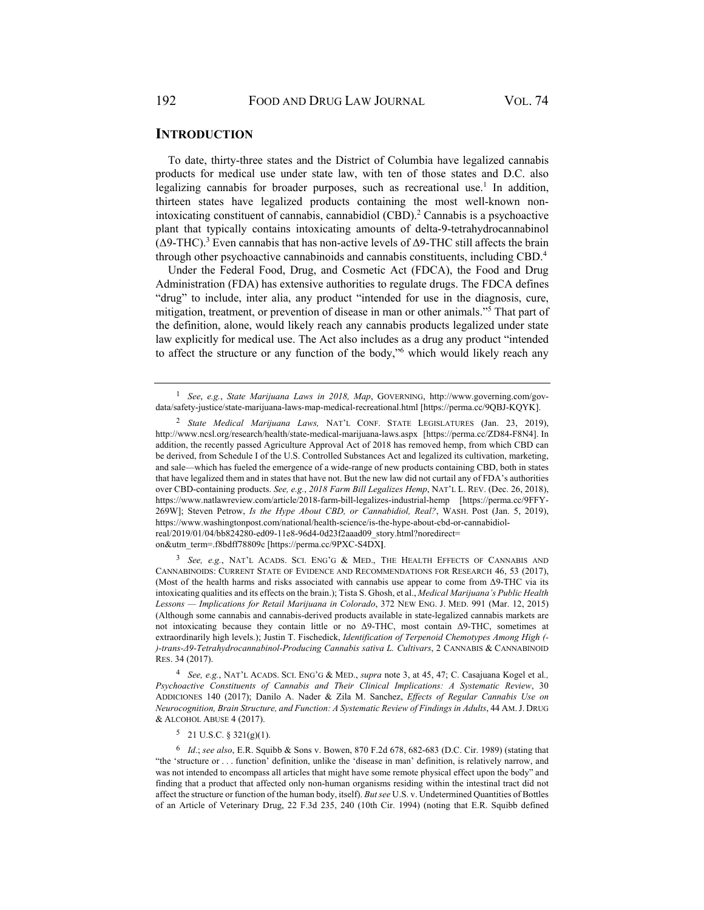### **INTRODUCTION**

To date, thirty-three states and the District of Columbia have legalized cannabis products for medical use under state law, with ten of those states and D.C. also legalizing cannabis for broader purposes, such as recreational use.<sup>1</sup> In addition, thirteen states have legalized products containing the most well-known nonintoxicating constituent of cannabis, cannabidiol (CBD).<sup>2</sup> Cannabis is a psychoactive plant that typically contains intoxicating amounts of delta-9-tetrahydrocannabinol ( $Δ9-THC$ ).<sup>3</sup> Even cannabis that has non-active levels of  $Δ9-THC$  still affects the brain through other psychoactive cannabinoids and cannabis constituents, including CBD.4

Under the Federal Food, Drug, and Cosmetic Act (FDCA), the Food and Drug Administration (FDA) has extensive authorities to regulate drugs. The FDCA defines "drug" to include, inter alia, any product "intended for use in the diagnosis, cure, mitigation, treatment, or prevention of disease in man or other animals."5 That part of the definition, alone, would likely reach any cannabis products legalized under state law explicitly for medical use. The Act also includes as a drug any product "intended to affect the structure or any function of the body,"<sup>6</sup> which would likely reach any

<sup>3</sup> *See, e.g.*, NAT'L ACADS. SCI. ENG'G & MED., THE HEALTH EFFECTS OF CANNABIS AND CANNABINOIDS: CURRENT STATE OF EVIDENCE AND RECOMMENDATIONS FOR RESEARCH 46, 53 (2017), (Most of the health harms and risks associated with cannabis use appear to come from Δ9-THC via its intoxicating qualities and its effects on the brain.); Tista S. Ghosh, et al., *Medical Marijuana's Public Health Lessons — Implications for Retail Marijuana in Colorado*, 372 NEW ENG. J. MED. 991 (Mar. 12, 2015) (Although some cannabis and cannabis-derived products available in state-legalized cannabis markets are not intoxicating because they contain little or no Δ9-THC, most contain Δ9-THC, sometimes at extraordinarily high levels.); Justin T. Fischedick, *Identification of Terpenoid Chemotypes Among High (- )-trans-Δ9-Tetrahydrocannabinol-Producing Cannabis sativa L. Cultivars*, 2 CANNABIS & CANNABINOID RES. 34 (2017).

<sup>4</sup> *See, e.g.*, NAT'L ACADS. SCI. ENG'G & MED., *supra* note 3, at 45, 47; C. Casajuana Kogel et al*., Psychoactive Constituents of Cannabis and Their Clinical Implications: A Systematic Review*, 30 ADDICIONES 140 (2017); Danilo A. Nader & Zila M. Sanchez, *Effects of Regular Cannabis Use on Neurocognition, Brain Structure, and Function: A Systematic Review of Findings in Adults*, 44 AM.J. DRUG & ALCOHOL ABUSE 4 (2017).

 $5$  21 U.S.C. § 321(g)(1).

<sup>6</sup> *Id*.; *see also*, E.R. Squibb & Sons v. Bowen, 870 F.2d 678, 682-683 (D.C. Cir. 1989) (stating that "the 'structure or . . . function' definition, unlike the 'disease in man' definition, is relatively narrow, and was not intended to encompass all articles that might have some remote physical effect upon the body" and finding that a product that affected only non-human organisms residing within the intestinal tract did not affect the structure or function of the human body, itself). *But see* U.S. v. Undetermined Quantities of Bottles of an Article of Veterinary Drug, 22 F.3d 235, 240 (10th Cir. 1994) (noting that E.R. Squibb defined

<sup>1</sup> *See*, *e.g.*, *State Marijuana Laws in 2018, Map*, GOVERNING, http://www.governing.com/govdata/safety-justice/state-marijuana-laws-map-medical-recreational.html [https://perma.cc/9QBJ-KQYK].

<sup>2</sup> *State Medical Marijuana Laws,* NAT'L CONF. STATE LEGISLATURES (Jan. 23, 2019), http://www.ncsl.org/research/health/state-medical-marijuana-laws.aspx [https://perma.cc/ZD84-F8N4]. In addition, the recently passed Agriculture Approval Act of 2018 has removed hemp, from which CBD can be derived, from Schedule I of the U.S. Controlled Substances Act and legalized its cultivation, marketing, and sale—which has fueled the emergence of a wide-range of new products containing CBD, both in states that have legalized them and in states that have not. But the new law did not curtail any of FDA's authorities over CBD-containing products. *See, e.g.*, *2018 Farm Bill Legalizes Hemp*, NAT'L L. REV. (Dec. 26, 2018), https://www.natlawreview.com/article/2018-farm-bill-legalizes-industrial-hemp [https://perma.cc/9FFY-269W]; Steven Petrow, *Is the Hype About CBD, or Cannabidiol, Real?*, WASH. Post (Jan. 5, 2019), https://www.washingtonpost.com/national/health-science/is-the-hype-about-cbd-or-cannabidiolreal/2019/01/04/bb824280-ed09-11e8-96d4-0d23f2aaad09\_story.html?noredirect= on&utm\_term=.f8bdff78809c [https://perma.cc/9PXC-S4DX**]**.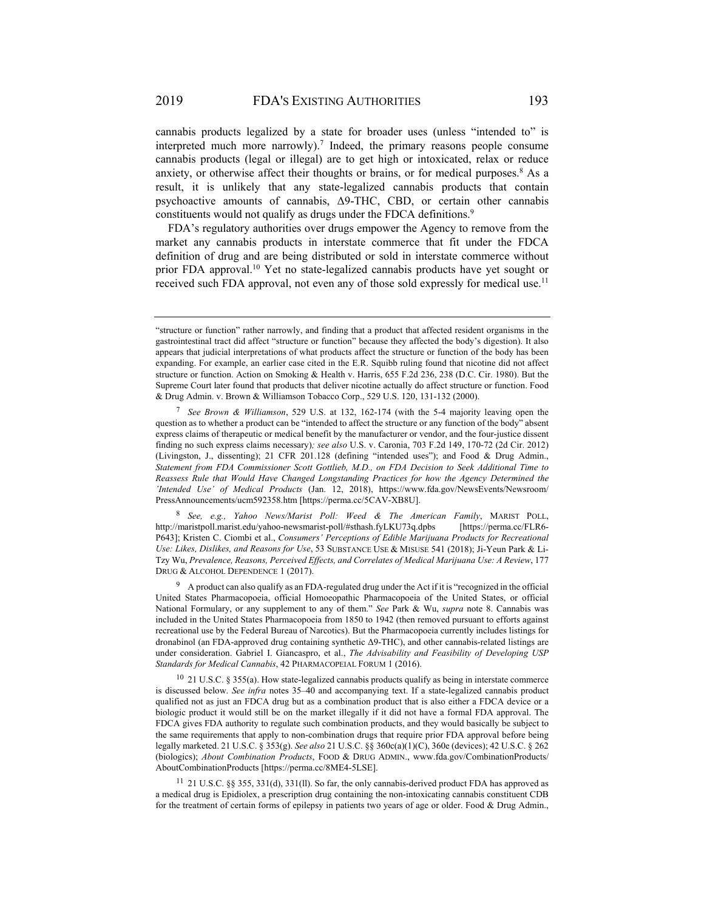2019 FDA's EXISTING AUTHORITIES 193

cannabis products legalized by a state for broader uses (unless "intended to" is interpreted much more narrowly).<sup>7</sup> Indeed, the primary reasons people consume cannabis products (legal or illegal) are to get high or intoxicated, relax or reduce anxiety, or otherwise affect their thoughts or brains, or for medical purposes. $8$  As a result, it is unlikely that any state-legalized cannabis products that contain psychoactive amounts of cannabis, Δ9-THC, CBD, or certain other cannabis constituents would not qualify as drugs under the FDCA definitions.<sup>9</sup>

FDA's regulatory authorities over drugs empower the Agency to remove from the market any cannabis products in interstate commerce that fit under the FDCA definition of drug and are being distributed or sold in interstate commerce without prior FDA approval.<sup>10</sup> Yet no state-legalized cannabis products have yet sought or received such FDA approval, not even any of those sold expressly for medical use.<sup>11</sup>

<sup>8</sup> *See, e.g., Yahoo News/Marist Poll: Weed & The American Family*, MARIST POLL, http://maristpoll.marist.edu/yahoo-newsmarist-poll/#sthash.fyLKU73q.dpbs [https://perma.cc/FLR6- P643]; Kristen C. Ciombi et al., *Consumers' Perceptions of Edible Marijuana Products for Recreational Use: Likes, Dislikes, and Reasons for Use*, 53 SUBSTANCE USE & MISUSE 541 (2018); Ji-Yeun Park & Li-Tzy Wu, *Prevalence, Reasons, Perceived Effects, and Correlates of Medical Marijuana Use: A Review*, 177 DRUG & ALCOHOL DEPENDENCE 1 (2017).

9 A product can also qualify as an FDA-regulated drug under the Act if it is "recognized in the official United States Pharmacopoeia, official Homoeopathic Pharmacopoeia of the United States, or official National Formulary, or any supplement to any of them." *See* Park & Wu, *supra* note 8. Cannabis was included in the United States Pharmacopoeia from 1850 to 1942 (then removed pursuant to efforts against recreational use by the Federal Bureau of Narcotics). But the Pharmacopoeia currently includes listings for dronabinol (an FDA-approved drug containing synthetic Δ9-THC), and other cannabis-related listings are under consideration. Gabriel I. Giancaspro, et al., *The Advisability and Feasibility of Developing USP Standards for Medical Cannabis*, 42 PHARMACOPEIAL FORUM 1 (2016).

 $10\,$  21 U.S.C. § 355(a). How state-legalized cannabis products qualify as being in interstate commerce is discussed below. *See infra* notes 35–40 and accompanying text. If a state-legalized cannabis product qualified not as just an FDCA drug but as a combination product that is also either a FDCA device or a biologic product it would still be on the market illegally if it did not have a formal FDA approval. The FDCA gives FDA authority to regulate such combination products, and they would basically be subject to the same requirements that apply to non-combination drugs that require prior FDA approval before being legally marketed. 21 U.S.C. § 353(g). *See also* 21 U.S.C. §§ 360c(a)(1)(C), 360e (devices); 42 U.S.C. § 262 (biologics); *About Combination Products*, FOOD & DRUG ADMIN., www.fda.gov/CombinationProducts/ AboutCombinationProducts [https://perma.cc/8ME4-5LSE].

11 21 U.S.C. §§ 355, 331(d), 331(ll). So far, the only cannabis-derived product FDA has approved as a medical drug is Epidiolex, a prescription drug containing the non-intoxicating cannabis constituent CDB for the treatment of certain forms of epilepsy in patients two years of age or older. Food & Drug Admin.,

<sup>&</sup>quot;structure or function" rather narrowly, and finding that a product that affected resident organisms in the gastrointestinal tract did affect "structure or function" because they affected the body's digestion). It also appears that judicial interpretations of what products affect the structure or function of the body has been expanding. For example, an earlier case cited in the E.R. Squibb ruling found that nicotine did not affect structure or function. Action on Smoking & Health v. Harris, 655 F.2d 236, 238 (D.C. Cir. 1980). But the Supreme Court later found that products that deliver nicotine actually do affect structure or function. Food & Drug Admin. v. Brown & Williamson Tobacco Corp., 529 U.S. 120, 131-132 (2000).

<sup>7</sup> *See Brown & Williamson*, 529 U.S. at 132, 162-174 (with the 5-4 majority leaving open the question as to whether a product can be "intended to affect the structure or any function of the body" absent express claims of therapeutic or medical benefit by the manufacturer or vendor, and the four-justice dissent finding no such express claims necessary)*; see also* U.S. v. Caronia, 703 F.2d 149, 170-72 (2d Cir. 2012) (Livingston, J., dissenting); 21 CFR 201.128 (defining "intended uses"); and Food & Drug Admin., *Statement from FDA Commissioner Scott Gottlieb, M.D., on FDA Decision to Seek Additional Time to Reassess Rule that Would Have Changed Longstanding Practices for how the Agency Determined the 'Intended Use' of Medical Products* (Jan. 12, 2018), https://www.fda.gov/NewsEvents/Newsroom/ PressAnnouncements/ucm592358.htm [https://perma.cc/5CAV-XB8U].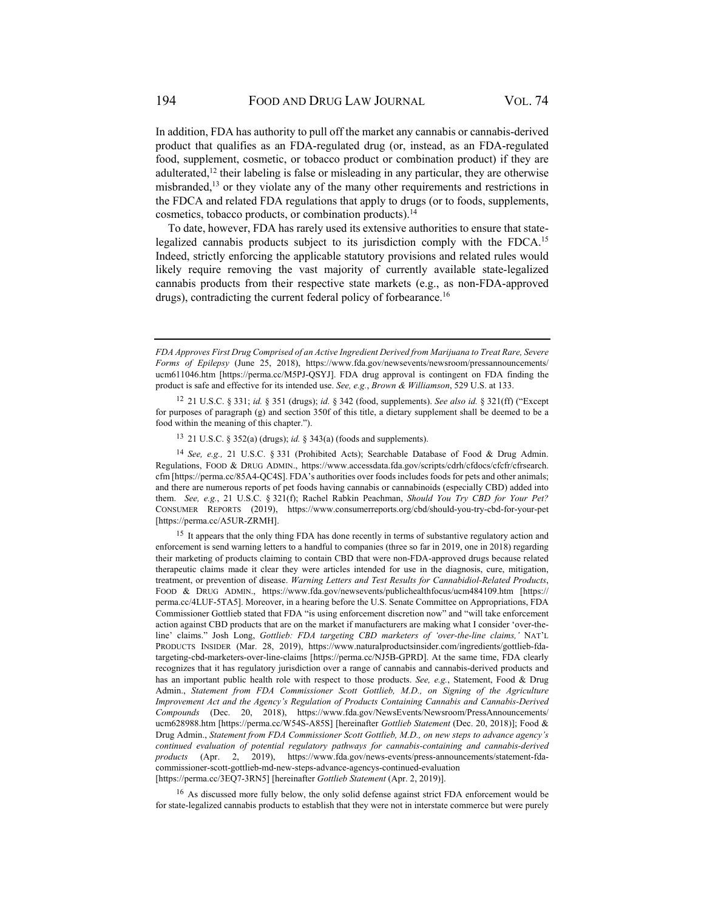In addition, FDA has authority to pull off the market any cannabis or cannabis-derived product that qualifies as an FDA-regulated drug (or, instead, as an FDA-regulated food, supplement, cosmetic, or tobacco product or combination product) if they are adulterated,<sup>12</sup> their labeling is false or misleading in any particular, they are otherwise misbranded,<sup>13</sup> or they violate any of the many other requirements and restrictions in the FDCA and related FDA regulations that apply to drugs (or to foods, supplements, cosmetics, tobacco products, or combination products).<sup>14</sup>

To date, however, FDA has rarely used its extensive authorities to ensure that statelegalized cannabis products subject to its jurisdiction comply with the FDCA.<sup>15</sup> Indeed, strictly enforcing the applicable statutory provisions and related rules would likely require removing the vast majority of currently available state-legalized cannabis products from their respective state markets (e.g., as non-FDA-approved drugs), contradicting the current federal policy of forbearance.<sup>16</sup>

13 21 U.S.C. § 352(a) (drugs); *id.* § 343(a) (foods and supplements).

<sup>14</sup> *See, e.g.,* 21 U.S.C. § 331 (Prohibited Acts); Searchable Database of Food & Drug Admin. Regulations, FOOD & DRUG ADMIN., https://www.accessdata.fda.gov/scripts/cdrh/cfdocs/cfcfr/cfrsearch. cfm [https://perma.cc/85A4-QC4S]. FDA's authorities over foods includes foods for pets and other animals; and there are numerous reports of pet foods having cannabis or cannabinoids (especially CBD) added into them. *See, e.g.*, 21 U.S.C. § 321(f); Rachel Rabkin Peachman, *Should You Try CBD for Your Pet?* CONSUMER REPORTS (2019), https://www.consumerreports.org/cbd/should-you-try-cbd-for-your-pet [https://perma.cc/A5UR-ZRMH].

<sup>15</sup> It appears that the only thing FDA has done recently in terms of substantive regulatory action and enforcement is send warning letters to a handful to companies (three so far in 2019, one in 2018) regarding their marketing of products claiming to contain CBD that were non-FDA-approved drugs because related therapeutic claims made it clear they were articles intended for use in the diagnosis, cure, mitigation, treatment, or prevention of disease. *Warning Letters and Test Results for Cannabidiol-Related Products*, FOOD & DRUG ADMIN., https://www.fda.gov/newsevents/publichealthfocus/ucm484109.htm [https:// perma.cc/4LUF-5TA5]. Moreover, in a hearing before the U.S. Senate Committee on Appropriations, FDA Commissioner Gottlieb stated that FDA "is using enforcement discretion now" and "will take enforcement action against CBD products that are on the market if manufacturers are making what I consider 'over-theline' claims." Josh Long, *Gottlieb: FDA targeting CBD marketers of 'over-the-line claims,'* NAT'L PRODUCTS INSIDER (Mar. 28, 2019), https://www.naturalproductsinsider.com/ingredients/gottlieb-fdatargeting-cbd-marketers-over-line-claims [https://perma.cc/NJ5B-GPRD]. At the same time, FDA clearly recognizes that it has regulatory jurisdiction over a range of cannabis and cannabis-derived products and has an important public health role with respect to those products. *See, e.g.*, Statement, Food & Drug Admin., *Statement from FDA Commissioner Scott Gottlieb, M.D., on Signing of the Agriculture Improvement Act and the Agency's Regulation of Products Containing Cannabis and Cannabis-Derived Compounds* (Dec. 20, 2018), https://www.fda.gov/NewsEvents/Newsroom/PressAnnouncements/ ucm628988.htm [https://perma.cc/W54S-A85S] [hereinafter *Gottlieb Statement* (Dec. 20, 2018)]; Food & Drug Admin., *Statement from FDA Commissioner Scott Gottlieb, M.D., on new steps to advance agency's continued evaluation of potential regulatory pathways for cannabis-containing and cannabis-derived products* (Apr. 2, 2019), https://www.fda.gov/news-events/press-announcements/statement-fdacommissioner-scott-gottlieb-md-new-steps-advance-agencys-continued-evaluation [https://perma.cc/3EQ7-3RN5] [hereinafter *Gottlieb Statement* (Apr. 2, 2019)].

16 As discussed more fully below, the only solid defense against strict FDA enforcement would be for state-legalized cannabis products to establish that they were not in interstate commerce but were purely

*FDA Approves First Drug Comprised of an Active Ingredient Derived from Marijuana to Treat Rare, Severe Forms of Epilepsy* (June 25, 2018), https://www.fda.gov/newsevents/newsroom/pressannouncements/ ucm611046.htm [https://perma.cc/M5PJ-QSYJ]. FDA drug approval is contingent on FDA finding the product is safe and effective for its intended use. *See, e.g.*, *Brown & Williamson*, 529 U.S. at 133.

<sup>12 21</sup> U.S.C. § 331; *id.* § 351 (drugs); *id.* § 342 (food, supplements). *See also id.* § 321(ff) ("Except for purposes of paragraph (g) and section 350f of this title, a dietary supplement shall be deemed to be a food within the meaning of this chapter.").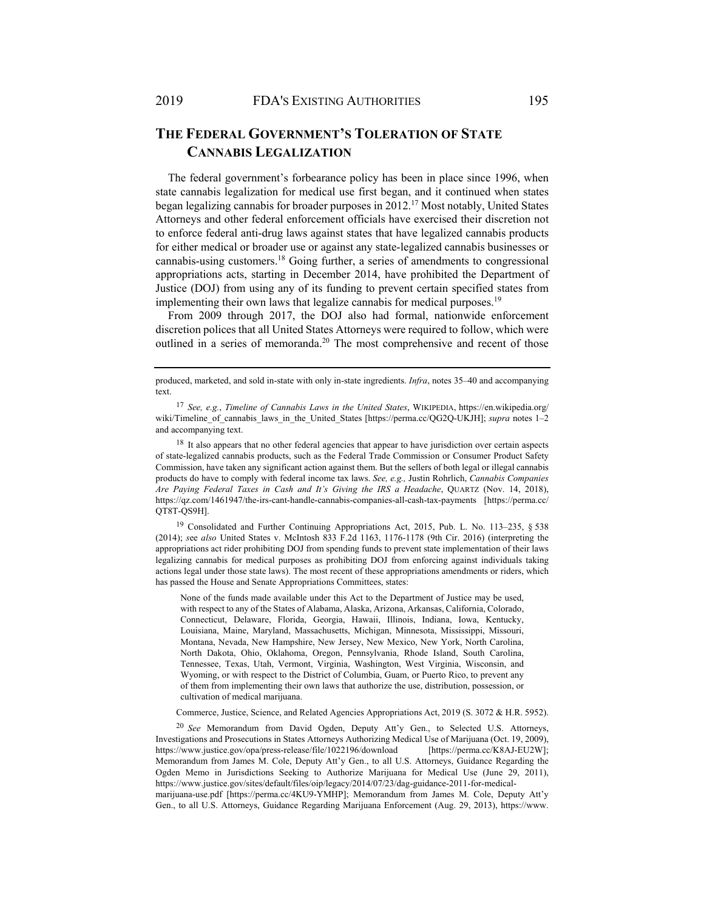## **THE FEDERAL GOVERNMENT'S TOLERATION OF STATE CANNABIS LEGALIZATION**

The federal government's forbearance policy has been in place since 1996, when state cannabis legalization for medical use first began, and it continued when states began legalizing cannabis for broader purposes in 2012.17 Most notably, United States Attorneys and other federal enforcement officials have exercised their discretion not to enforce federal anti-drug laws against states that have legalized cannabis products for either medical or broader use or against any state-legalized cannabis businesses or cannabis-using customers.18 Going further, a series of amendments to congressional appropriations acts, starting in December 2014, have prohibited the Department of Justice (DOJ) from using any of its funding to prevent certain specified states from implementing their own laws that legalize cannabis for medical purposes.<sup>19</sup>

From 2009 through 2017, the DOJ also had formal, nationwide enforcement discretion polices that all United States Attorneys were required to follow, which were outlined in a series of memoranda.<sup>20</sup> The most comprehensive and recent of those

<sup>18</sup> It also appears that no other federal agencies that appear to have jurisdiction over certain aspects of state-legalized cannabis products, such as the Federal Trade Commission or Consumer Product Safety Commission, have taken any significant action against them. But the sellers of both legal or illegal cannabis products do have to comply with federal income tax laws. *See, e.g.,* Justin Rohrlich, *Cannabis Companies Are Paying Federal Taxes in Cash and It's Giving the IRS a Headache*, QUARTZ (Nov. 14, 2018), https://qz.com/1461947/the-irs-cant-handle-cannabis-companies-all-cash-tax-payments [https://perma.cc/ QT8T-QS9H].

19 Consolidated and Further Continuing Appropriations Act, 2015, Pub. L. No. 113–235, § 538 (2014); *s*ee *also* United States v. McIntosh 833 F.2d 1163, 1176-1178 (9th Cir. 2016) (interpreting the appropriations act rider prohibiting DOJ from spending funds to prevent state implementation of their laws legalizing cannabis for medical purposes as prohibiting DOJ from enforcing against individuals taking actions legal under those state laws). The most recent of these appropriations amendments or riders, which has passed the House and Senate Appropriations Committees, states:

None of the funds made available under this Act to the Department of Justice may be used, with respect to any of the States of Alabama, Alaska, Arizona, Arkansas, California, Colorado, Connecticut, Delaware, Florida, Georgia, Hawaii, Illinois, Indiana, Iowa, Kentucky, Louisiana, Maine, Maryland, Massachusetts, Michigan, Minnesota, Mississippi, Missouri, Montana, Nevada, New Hampshire, New Jersey, New Mexico, New York, North Carolina, North Dakota, Ohio, Oklahoma, Oregon, Pennsylvania, Rhode Island, South Carolina, Tennessee, Texas, Utah, Vermont, Virginia, Washington, West Virginia, Wisconsin, and Wyoming, or with respect to the District of Columbia, Guam, or Puerto Rico, to prevent any of them from implementing their own laws that authorize the use, distribution, possession, or cultivation of medical marijuana.

Commerce, Justice, Science, and Related Agencies Appropriations Act, 2019 (S. 3072 & H.R. 5952).

<sup>20</sup> *See* Memorandum from David Ogden, Deputy Att'y Gen., to Selected U.S. Attorneys, Investigations and Prosecutions in States Attorneys Authorizing Medical Use of Marijuana (Oct. 19, 2009), https://www.justice.gov/opa/press-release/file/1022196/download [https://perma.cc/K8AJ-EU2W]; Memorandum from James M. Cole, Deputy Att'y Gen., to all U.S. Attorneys, Guidance Regarding the Ogden Memo in Jurisdictions Seeking to Authorize Marijuana for Medical Use (June 29, 2011), https://www.justice.gov/sites/default/files/oip/legacy/2014/07/23/dag-guidance-2011-for-medical-

marijuana-use.pdf [https://perma.cc/4KU9-YMHP]; Memorandum from James M. Cole, Deputy Att'y Gen., to all U.S. Attorneys, Guidance Regarding Marijuana Enforcement (Aug. 29, 2013), https://www.

produced, marketed, and sold in-state with only in-state ingredients. *Infra*, notes 35–40 and accompanying text.

<sup>17</sup> *See, e.g.*, *Timeline of Cannabis Laws in the United States*, WIKIPEDIA, https://en.wikipedia.org/ wiki/Timeline\_of\_cannabis\_laws\_in\_the\_United\_States [https://perma.cc/QG2Q-UKJH]; *supra* notes 1–2 and accompanying text.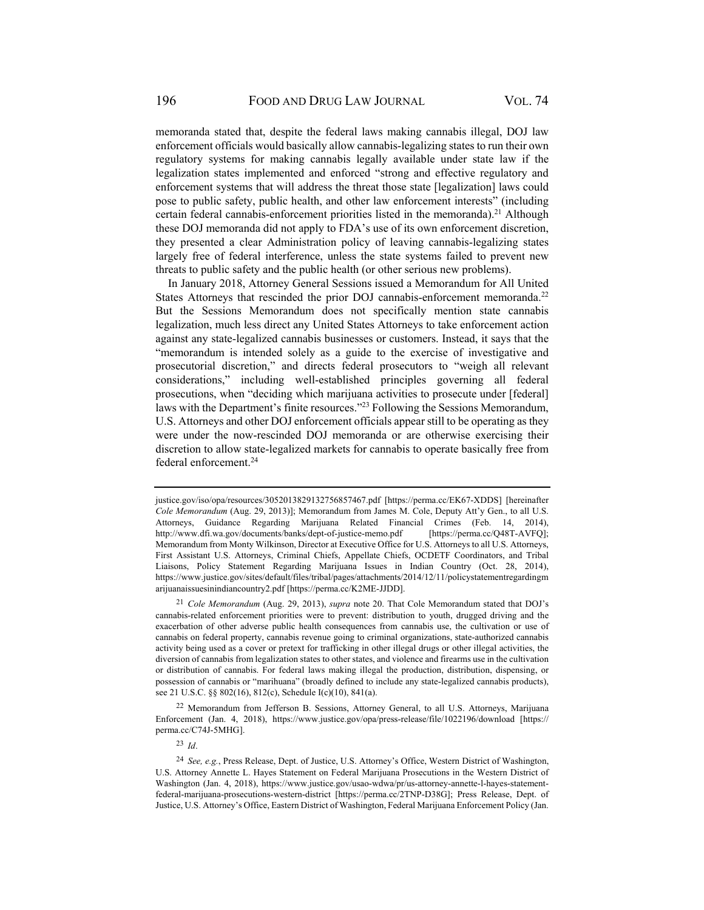memoranda stated that, despite the federal laws making cannabis illegal, DOJ law enforcement officials would basically allow cannabis-legalizing states to run their own regulatory systems for making cannabis legally available under state law if the legalization states implemented and enforced "strong and effective regulatory and enforcement systems that will address the threat those state [legalization] laws could pose to public safety, public health, and other law enforcement interests" (including certain federal cannabis-enforcement priorities listed in the memoranda).<sup>21</sup> Although these DOJ memoranda did not apply to FDA's use of its own enforcement discretion, they presented a clear Administration policy of leaving cannabis-legalizing states largely free of federal interference, unless the state systems failed to prevent new threats to public safety and the public health (or other serious new problems).

In January 2018, Attorney General Sessions issued a Memorandum for All United States Attorneys that rescinded the prior DOJ cannabis-enforcement memoranda.<sup>22</sup> But the Sessions Memorandum does not specifically mention state cannabis legalization, much less direct any United States Attorneys to take enforcement action against any state-legalized cannabis businesses or customers. Instead, it says that the "memorandum is intended solely as a guide to the exercise of investigative and prosecutorial discretion," and directs federal prosecutors to "weigh all relevant considerations," including well-established principles governing all federal prosecutions, when "deciding which marijuana activities to prosecute under [federal] laws with the Department's finite resources."<sup>23</sup> Following the Sessions Memorandum, U.S. Attorneys and other DOJ enforcement officials appear still to be operating as they were under the now-rescinded DOJ memoranda or are otherwise exercising their discretion to allow state-legalized markets for cannabis to operate basically free from federal enforcement.<sup>24</sup>

justice.gov/iso/opa/resources/3052013829132756857467.pdf [https://perma.cc/EK67-XDDS] [hereinafter *Cole Memorandum* (Aug. 29, 2013)]; Memorandum from James M. Cole, Deputy Att'y Gen., to all U.S. Attorneys, Guidance Regarding Marijuana Related Financial Crimes (Feb. 14, 2014), http://www.dfi.wa.gov/documents/banks/dept-of-justice-memo.pdf [https://perma.cc/Q48T-AVFQ]; Memorandum from Monty Wilkinson, Director at Executive Office for U.S. Attorneys to all U.S. Attorneys, First Assistant U.S. Attorneys, Criminal Chiefs, Appellate Chiefs, OCDETF Coordinators, and Tribal Liaisons, Policy Statement Regarding Marijuana Issues in Indian Country (Oct. 28, 2014), https://www.justice.gov/sites/default/files/tribal/pages/attachments/2014/12/11/policystatementregardingm arijuanaissuesinindiancountry2.pdf [https://perma.cc/K2ME-JJDD].

<sup>21</sup> *Cole Memorandum* (Aug. 29, 2013), *supra* note 20. That Cole Memorandum stated that DOJ's cannabis-related enforcement priorities were to prevent: distribution to youth, drugged driving and the exacerbation of other adverse public health consequences from cannabis use, the cultivation or use of cannabis on federal property, cannabis revenue going to criminal organizations, state-authorized cannabis activity being used as a cover or pretext for trafficking in other illegal drugs or other illegal activities, the diversion of cannabis from legalization states to other states, and violence and firearms use in the cultivation or distribution of cannabis. For federal laws making illegal the production, distribution, dispensing, or possession of cannabis or "marihuana" (broadly defined to include any state-legalized cannabis products), see 21 U.S.C. §§ 802(16), 812(c), Schedule I(c)(10), 841(a).

<sup>22</sup> Memorandum from Jefferson B. Sessions, Attorney General, to all U.S. Attorneys, Marijuana Enforcement (Jan. 4, 2018), https://www.justice.gov/opa/press-release/file/1022196/download [https:// perma.cc/C74J-5MHG].

<sup>23</sup> *Id*.

<sup>24</sup> *See, e.g.*, Press Release, Dept. of Justice, U.S. Attorney's Office, Western District of Washington, U.S. Attorney Annette L. Hayes Statement on Federal Marijuana Prosecutions in the Western District of Washington (Jan. 4, 2018), https://www.justice.gov/usao-wdwa/pr/us-attorney-annette-l-hayes-statementfederal-marijuana-prosecutions-western-district [https://perma.cc/2TNP-D38G]; Press Release, Dept. of Justice, U.S. Attorney's Office, Eastern District of Washington, Federal Marijuana Enforcement Policy (Jan.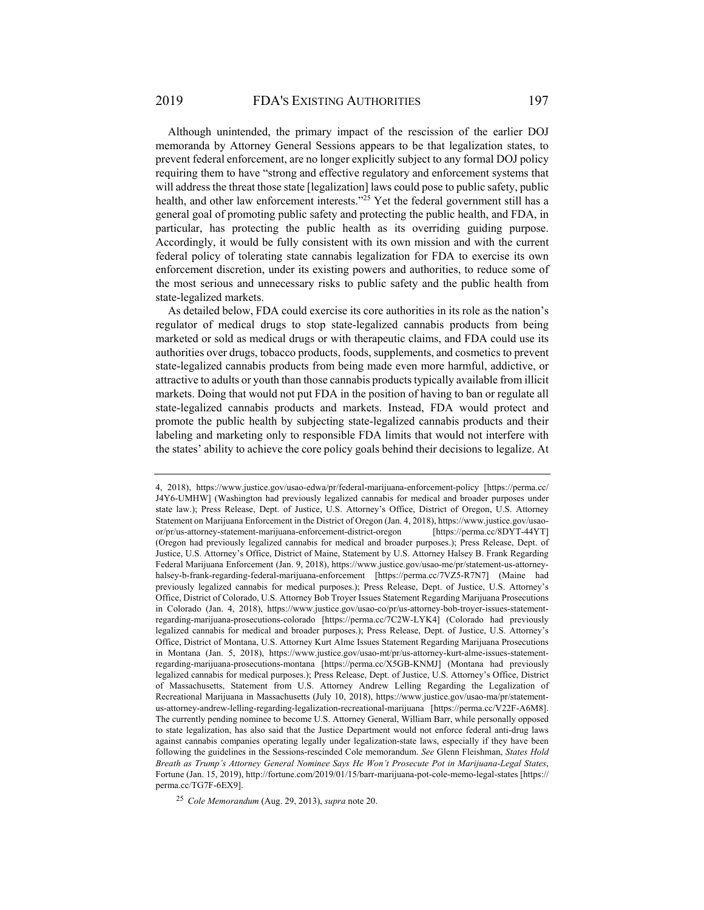Although unintended, the primary impact of the rescission of the earlier DOJ memoranda by Attorney General Sessions appears to be that legalization states, to prevent federal enforcement, are no longer explicitly subject to any formal DOJ policy requiring them to have "strong and effective regulatory and enforcement systems that will address the threat those state [legalization] laws could pose to public safety, public health, and other law enforcement interests."<sup>25</sup> Yet the federal government still has a general goal of promoting public safety and protecting the public health, and FDA, in particular, has protecting the public health as its overriding guiding purpose. Accordingly, it would be fully consistent with its own mission and with the current federal policy of tolerating state cannabis legalization for FDA to exercise its own enforcement discretion, under its existing powers and authorities, to reduce some of the most serious and unnecessary risks to public safety and the public health from state-legalized markets.

As detailed below, FDA could exercise its core authorities in its role as the nation's regulator of medical drugs to stop state-legalized cannabis products from being marketed or sold as medical drugs or with therapeutic claims, and FDA could use its authorities over drugs, tobacco products, foods, supplements, and cosmetics to prevent state-legalized cannabis products from being made even more harmful, addictive, or attractive to adults or youth than those cannabis products typically available from illicit markets. Doing that would not put FDA in the position of having to ban or regulate all state-legalized cannabis products and markets. Instead, FDA would protect and promote the public health by subjecting state-legalized cannabis products and their labeling and marketing only to responsible FDA limits that would not interfere with the states' ability to achieve the core policy goals behind their decisions to legalize. At

<sup>4, 2018),</sup> https://www.justice.gov/usao-edwa/pr/federal-marijuana-enforcement-policy [https://perma.cc/ J4Y6-UMHW] (Washington had previously legalized cannabis for medical and broader purposes under state law.); Press Release, Dept. of Justice, U.S. Attorney's Office, District of Oregon, U.S. Attorney Statement on Marijuana Enforcement in the District of Oregon (Jan. 4, 2018), https://www.justice.gov/usaoor/pr/us-attorney-statement-marijuana-enforcement-district-oregon [https://perma.cc/8DYT-44YT] (Oregon had previously legalized cannabis for medical and broader purposes.); Press Release, Dept. of Justice, U.S. Attorney's Office, District of Maine, Statement by U.S. Attorney Halsey B. Frank Regarding Federal Marijuana Enforcement (Jan. 9, 2018), https://www.justice.gov/usao-me/pr/statement-us-attorneyhalsey-b-frank-regarding-federal-marijuana-enforcement [https://perma.cc/7VZ5-R7N7] (Maine had previously legalized cannabis for medical purposes.); Press Release, Dept. of Justice, U.S. Attorney's Office, District of Colorado, U.S. Attorney Bob Troyer Issues Statement Regarding Marijuana Prosecutions in Colorado (Jan. 4, 2018), https://www.justice.gov/usao-co/pr/us-attorney-bob-troyer-issues-statementregarding-marijuana-prosecutions-colorado [https://perma.cc/7C2W-LYK4] (Colorado had previously legalized cannabis for medical and broader purposes.); Press Release, Dept. of Justice, U.S. Attorney's Office, District of Montana, U.S. Attorney Kurt Alme Issues Statement Regarding Marijuana Prosecutions in Montana (Jan. 5, 2018), https://www.justice.gov/usao-mt/pr/us-attorney-kurt-alme-issues-statementregarding-marijuana-prosecutions-montana [https://perma.cc/X5GB-KNMJ] (Montana had previously legalized cannabis for medical purposes.); Press Release, Dept. of Justice, U.S. Attorney's Office, District of Massachusetts, Statement from U.S. Attorney Andrew Lelling Regarding the Legalization of Recreational Marijuana in Massachusetts (July 10, 2018), https://www.justice.gov/usao-ma/pr/statementus-attorney-andrew-lelling-regarding-legalization-recreational-marijuana [https://perma.cc/V22F-A6M8]. The currently pending nominee to become U.S. Attorney General, William Barr, while personally opposed to state legalization, has also said that the Justice Department would not enforce federal anti-drug laws against cannabis companies operating legally under legalization-state laws, especially if they have been following the guidelines in the Sessions-rescinded Cole memorandum. *See* Glenn Fleishman, *States Hold Breath as Trump's Attorney General Nominee Says He Won't Prosecute Pot in Marijuana-Legal States*, Fortune (Jan. 15, 2019), http://fortune.com/2019/01/15/barr-marijuana-pot-cole-memo-legal-states [https:// perma.cc/TG7F-6EX9].

<sup>25</sup> *Cole Memorandum* (Aug. 29, 2013), *supra* note 20.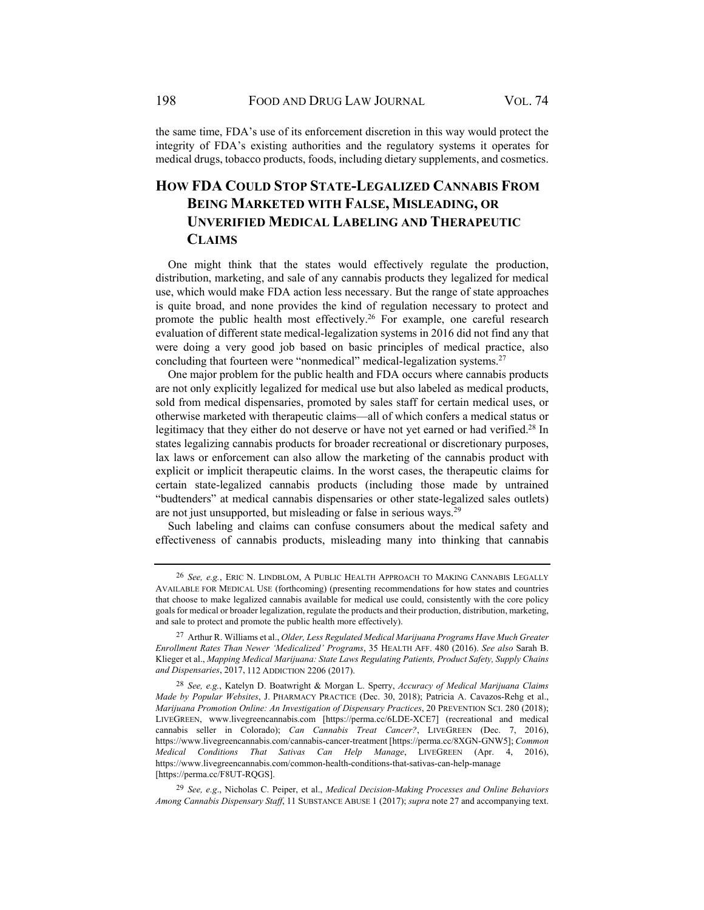the same time, FDA's use of its enforcement discretion in this way would protect the integrity of FDA's existing authorities and the regulatory systems it operates for medical drugs, tobacco products, foods, including dietary supplements, and cosmetics.

# **HOW FDA COULD STOP STATE-LEGALIZED CANNABIS FROM BEING MARKETED WITH FALSE, MISLEADING, OR UNVERIFIED MEDICAL LABELING AND THERAPEUTIC CLAIMS**

One might think that the states would effectively regulate the production, distribution, marketing, and sale of any cannabis products they legalized for medical use, which would make FDA action less necessary. But the range of state approaches is quite broad, and none provides the kind of regulation necessary to protect and promote the public health most effectively.<sup>26</sup> For example, one careful research evaluation of different state medical-legalization systems in 2016 did not find any that were doing a very good job based on basic principles of medical practice, also concluding that fourteen were "nonmedical" medical-legalization systems.<sup>27</sup>

One major problem for the public health and FDA occurs where cannabis products are not only explicitly legalized for medical use but also labeled as medical products, sold from medical dispensaries, promoted by sales staff for certain medical uses, or otherwise marketed with therapeutic claims—all of which confers a medical status or legitimacy that they either do not deserve or have not yet earned or had verified.<sup>28</sup> In states legalizing cannabis products for broader recreational or discretionary purposes, lax laws or enforcement can also allow the marketing of the cannabis product with explicit or implicit therapeutic claims. In the worst cases, the therapeutic claims for certain state-legalized cannabis products (including those made by untrained "budtenders" at medical cannabis dispensaries or other state-legalized sales outlets) are not just unsupported, but misleading or false in serious ways.29

Such labeling and claims can confuse consumers about the medical safety and effectiveness of cannabis products, misleading many into thinking that cannabis

<sup>26</sup> *See, e.g.*, ERIC N. LINDBLOM, A PUBLIC HEALTH APPROACH TO MAKING CANNABIS LEGALLY AVAILABLE FOR MEDICAL USE (forthcoming) (presenting recommendations for how states and countries that choose to make legalized cannabis available for medical use could, consistently with the core policy goals for medical or broader legalization, regulate the products and their production, distribution, marketing, and sale to protect and promote the public health more effectively).

<sup>27</sup> Arthur R. Williams et al., *Older, Less Regulated Medical Marijuana Programs Have Much Greater Enrollment Rates Than Newer 'Medicalized' Programs*, 35 HEALTH AFF. 480 (2016). *See also* Sarah B. Klieger et al., *Mapping Medical Marijuana: State Laws Regulating Patients, Product Safety, Supply Chains and Dispensaries*, 2017, 112 ADDICTION 2206 (2017).

<sup>28</sup> *See, e.g.*, Katelyn D. Boatwright & Morgan L. Sperry, *Accuracy of Medical Marijuana Claims Made by Popular Websites*, J. PHARMACY PRACTICE (Dec. 30, 2018); Patricia A. Cavazos-Rehg et al., *Marijuana Promotion Online: An Investigation of Dispensary Practices*, 20 PREVENTION SCI. 280 (2018); LIVEGREEN, www.livegreencannabis.com [https://perma.cc/6LDE-XCE7] (recreational and medical cannabis seller in Colorado); *Can Cannabis Treat Cancer?*, LIVEGREEN (Dec. 7, 2016), https://www.livegreencannabis.com/cannabis-cancer-treatment [https://perma.cc/8XGN-GNW5]; *Common Medical Conditions That Sativas Can Help Manage*, LIVEGREEN (Apr. 4, 2016), https://www.livegreencannabis.com/common-health-conditions-that-sativas-can-help-manage [https://perma.cc/F8UT-RQGS].

<sup>29</sup> *See, e.g*., Nicholas C. Peiper, et al., *Medical Decision-Making Processes and Online Behaviors Among Cannabis Dispensary Staff*, 11 SUBSTANCE ABUSE 1 (2017); *supra* note 27 and accompanying text.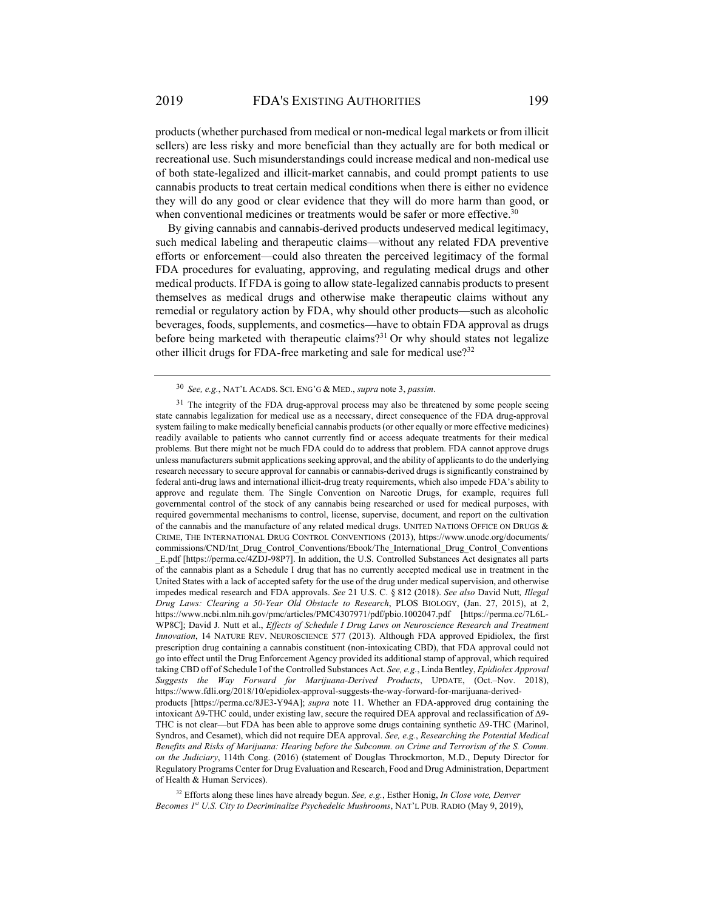products (whether purchased from medical or non-medical legal markets or from illicit sellers) are less risky and more beneficial than they actually are for both medical or recreational use. Such misunderstandings could increase medical and non-medical use of both state-legalized and illicit-market cannabis, and could prompt patients to use cannabis products to treat certain medical conditions when there is either no evidence they will do any good or clear evidence that they will do more harm than good, or when conventional medicines or treatments would be safer or more effective.<sup>30</sup>

By giving cannabis and cannabis-derived products undeserved medical legitimacy, such medical labeling and therapeutic claims—without any related FDA preventive efforts or enforcement—could also threaten the perceived legitimacy of the formal FDA procedures for evaluating, approving, and regulating medical drugs and other medical products. If FDA is going to allow state-legalized cannabis products to present themselves as medical drugs and otherwise make therapeutic claims without any remedial or regulatory action by FDA, why should other products—such as alcoholic beverages, foods, supplements, and cosmetics—have to obtain FDA approval as drugs before being marketed with therapeutic claims?<sup>31</sup> Or why should states not legalize other illicit drugs for FDA-free marketing and sale for medical use?<sup>32</sup>

32 Efforts along these lines have already begun. *See, e.g.*, Esther Honig, *In Close vote, Denver Becomes 1st U.S. City to Decriminalize Psychedelic Mushrooms*, NAT'L PUB. RADIO (May 9, 2019),

<sup>30</sup> *See, e.g.*, NAT'L ACADS. SCI. ENG'G & MED., *supra* note 3, *passim*.

<sup>&</sup>lt;sup>31</sup> The integrity of the FDA drug-approval process may also be threatened by some people seeing state cannabis legalization for medical use as a necessary, direct consequence of the FDA drug-approval system failing to make medically beneficial cannabis products (or other equally or more effective medicines) readily available to patients who cannot currently find or access adequate treatments for their medical problems. But there might not be much FDA could do to address that problem. FDA cannot approve drugs unless manufacturers submit applications seeking approval, and the ability of applicants to do the underlying research necessary to secure approval for cannabis or cannabis-derived drugs is significantly constrained by federal anti-drug laws and international illicit-drug treaty requirements, which also impede FDA's ability to approve and regulate them. The Single Convention on Narcotic Drugs, for example, requires full governmental control of the stock of any cannabis being researched or used for medical purposes, with required governmental mechanisms to control, license, supervise, document, and report on the cultivation of the cannabis and the manufacture of any related medical drugs. UNITED NATIONS OFFICE ON DRUGS & CRIME, THE INTERNATIONAL DRUG CONTROL CONVENTIONS (2013), https://www.unodc.org/documents/ commissions/CND/Int\_Drug\_Control\_Conventions/Ebook/The\_International\_Drug\_Control\_Conventions \_E.pdf [https://perma.cc/4ZDJ-98P7]. In addition, the U.S. Controlled Substances Act designates all parts of the cannabis plant as a Schedule I drug that has no currently accepted medical use in treatment in the United States with a lack of accepted safety for the use of the drug under medical supervision, and otherwise impedes medical research and FDA approvals. *See* 21 U.S. C. § 812 (2018). *See also* David Nutt*, Illegal Drug Laws: Clearing a 50-Year Old Obstacle to Research*, PLOS BIOLOGY, (Jan. 27, 2015), at 2, https://www.ncbi.nlm.nih.gov/pmc/articles/PMC4307971/pdf/pbio.1002047.pdf [https://perma.cc/7L6L-WP8C]; David J. Nutt et al., *Effects of Schedule I Drug Laws on Neuroscience Research and Treatment Innovation*, 14 NATURE REV. NEUROSCIENCE 577 (2013). Although FDA approved Epidiolex, the first prescription drug containing a cannabis constituent (non-intoxicating CBD), that FDA approval could not go into effect until the Drug Enforcement Agency provided its additional stamp of approval, which required taking CBD off of Schedule I of the Controlled Substances Act. *See, e.g.*, Linda Bentley, *Epidiolex Approval Suggests the Way Forward for Marijuana-Derived Products*, UPDATE, (Oct.–Nov. 2018), https://www.fdli.org/2018/10/epidiolex-approval-suggests-the-way-forward-for-marijuana-derivedproducts [https://perma.cc/8JE3-Y94A]; *supra* note 11. Whether an FDA-approved drug containing the intoxicant Δ9-THC could, under existing law, secure the required DEA approval and reclassification of Δ9- THC is not clear—but FDA has been able to approve some drugs containing synthetic Δ9-THC (Marinol, Syndros, and Cesamet), which did not require DEA approval. *See, e.g.*, *Researching the Potential Medical Benefits and Risks of Marijuana: Hearing before the Subcomm. on Crime and Terrorism of the S. Comm. on the Judiciary*, 114th Cong. (2016) (statement of Douglas Throckmorton, M.D., Deputy Director for Regulatory Programs Center for Drug Evaluation and Research, Food and Drug Administration, Department of Health & Human Services).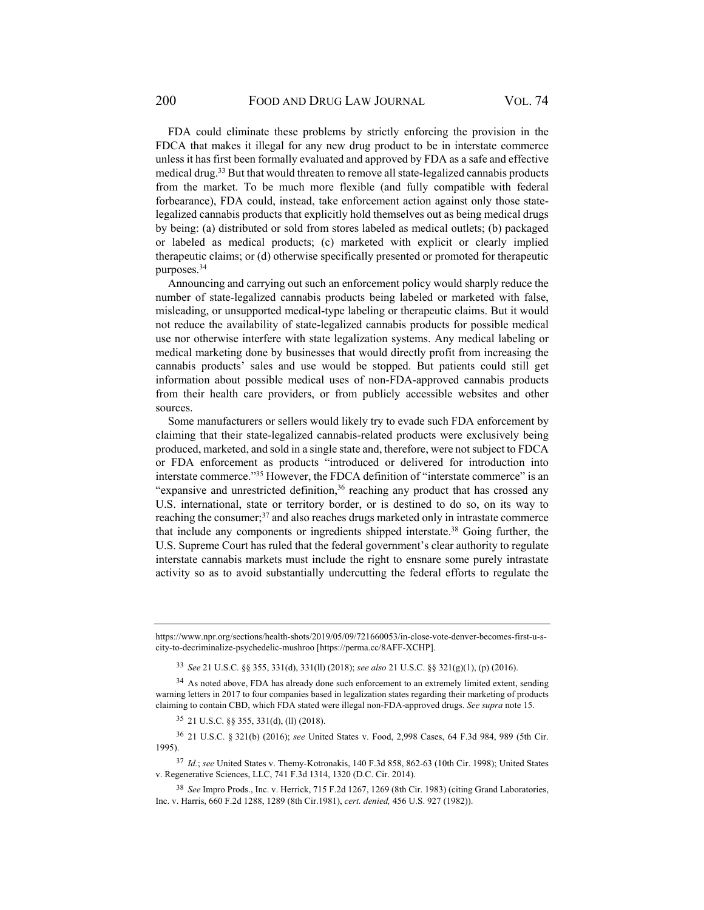FDA could eliminate these problems by strictly enforcing the provision in the FDCA that makes it illegal for any new drug product to be in interstate commerce unless it has first been formally evaluated and approved by FDA as a safe and effective medical drug.<sup>33</sup> But that would threaten to remove all state-legalized cannabis products from the market. To be much more flexible (and fully compatible with federal forbearance), FDA could, instead, take enforcement action against only those statelegalized cannabis products that explicitly hold themselves out as being medical drugs by being: (a) distributed or sold from stores labeled as medical outlets; (b) packaged or labeled as medical products; (c) marketed with explicit or clearly implied therapeutic claims; or (d) otherwise specifically presented or promoted for therapeutic purposes.34

Announcing and carrying out such an enforcement policy would sharply reduce the number of state-legalized cannabis products being labeled or marketed with false, misleading, or unsupported medical-type labeling or therapeutic claims. But it would not reduce the availability of state-legalized cannabis products for possible medical use nor otherwise interfere with state legalization systems. Any medical labeling or medical marketing done by businesses that would directly profit from increasing the cannabis products' sales and use would be stopped. But patients could still get information about possible medical uses of non-FDA-approved cannabis products from their health care providers, or from publicly accessible websites and other sources.

Some manufacturers or sellers would likely try to evade such FDA enforcement by claiming that their state-legalized cannabis-related products were exclusively being produced, marketed, and sold in a single state and, therefore, were not subject to FDCA or FDA enforcement as products "introduced or delivered for introduction into interstate commerce."<sup>35</sup> However, the FDCA definition of "interstate commerce" is an "expansive and unrestricted definition, $3<sup>6</sup>$  reaching any product that has crossed any U.S. international, state or territory border, or is destined to do so, on its way to reaching the consumer;<sup>37</sup> and also reaches drugs marketed only in intrastate commerce that include any components or ingredients shipped interstate.38 Going further, the U.S. Supreme Court has ruled that the federal government's clear authority to regulate interstate cannabis markets must include the right to ensnare some purely intrastate activity so as to avoid substantially undercutting the federal efforts to regulate the

<sup>33</sup> *See* 21 U.S.C. §§ 355, 331(d), 331(ll) (2018); *see also* 21 U.S.C. §§ 321(g)(1), (p) (2016).

35 21 U.S.C. §§ 355, 331(d), (ll) (2018).

36 21 U.S.C. § 321(b) (2016); *see* United States v. Food, 2,998 Cases, 64 F.3d 984, 989 (5th Cir. 1995).

<sup>37</sup> *Id.*; *see* United States v. Themy-Kotronakis, 140 F.3d 858, 862-63 (10th Cir. 1998); United States v. Regenerative Sciences, LLC, 741 F.3d 1314, 1320 (D.C. Cir. 2014).

<sup>38</sup> *See* Impro Prods., Inc. v. Herrick, 715 F.2d 1267, 1269 (8th Cir. 1983) (citing Grand Laboratories, Inc. v. Harris, 660 F.2d 1288, 1289 (8th Cir.1981), *cert. denied,* 456 U.S. 927 (1982)).

https://www.npr.org/sections/health-shots/2019/05/09/721660053/in-close-vote-denver-becomes-first-u-scity-to-decriminalize-psychedelic-mushroo [https://perma.cc/8AFF-XCHP].

 $34$  As noted above, FDA has already done such enforcement to an extremely limited extent, sending warning letters in 2017 to four companies based in legalization states regarding their marketing of products claiming to contain CBD, which FDA stated were illegal non-FDA-approved drugs. *See supra* note 15.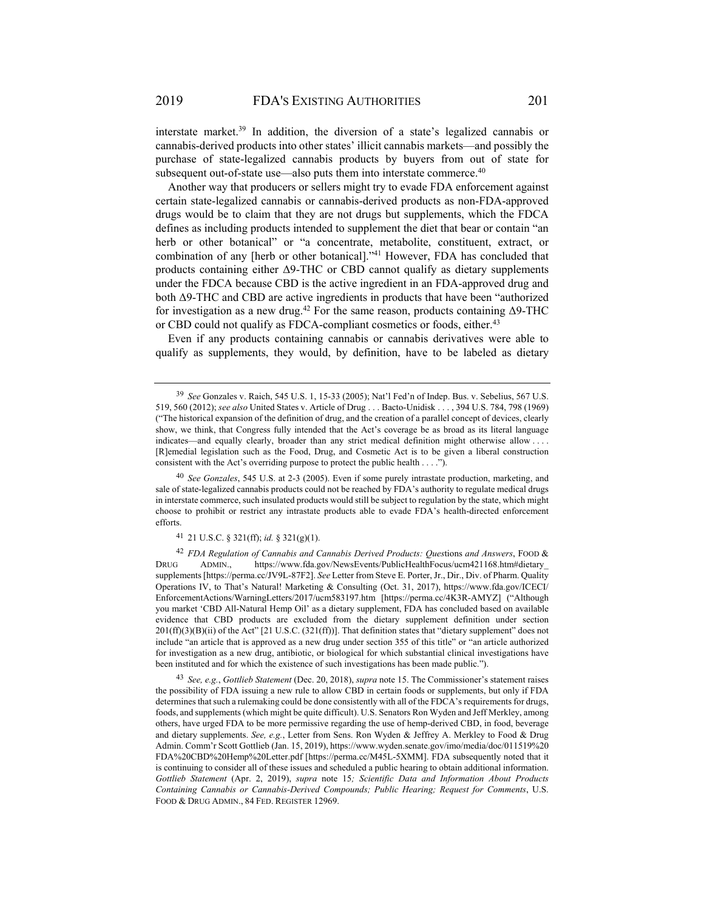interstate market.39 In addition, the diversion of a state's legalized cannabis or cannabis-derived products into other states' illicit cannabis markets—and possibly the purchase of state-legalized cannabis products by buyers from out of state for subsequent out-of-state use—also puts them into interstate commerce.<sup>40</sup>

Another way that producers or sellers might try to evade FDA enforcement against certain state-legalized cannabis or cannabis-derived products as non-FDA-approved drugs would be to claim that they are not drugs but supplements, which the FDCA defines as including products intended to supplement the diet that bear or contain "an herb or other botanical" or "a concentrate, metabolite, constituent, extract, or combination of any [herb or other botanical]."41 However, FDA has concluded that products containing either Δ9-THC or CBD cannot qualify as dietary supplements under the FDCA because CBD is the active ingredient in an FDA-approved drug and both Δ9-THC and CBD are active ingredients in products that have been "authorized for investigation as a new drug.<sup>42</sup> For the same reason, products containing  $\Delta$ 9-THC or CBD could not qualify as FDCA-compliant cosmetics or foods, either.<sup>43</sup>

Even if any products containing cannabis or cannabis derivatives were able to qualify as supplements, they would, by definition, have to be labeled as dietary

<sup>40</sup> *See Gonzales*, 545 U.S. at 2-3 (2005). Even if some purely intrastate production, marketing, and sale of state-legalized cannabis products could not be reached by FDA's authority to regulate medical drugs in interstate commerce, such insulated products would still be subject to regulation by the state, which might choose to prohibit or restrict any intrastate products able to evade FDA's health-directed enforcement efforts.

41 21 U.S.C. § 321(ff); *id.* § 321(g)(1).

<sup>42</sup> *FDA Regulation of Cannabis and Cannabis Derived Products: Ques*tions *and Answers*, FOOD & DRUG ADMIN., https://www.fda.gov/NewsEvents/PublicHealthFocus/ucm421168.htm#dietary\_ supplements [https://perma.cc/JV9L-87F2]. *See* Letter from Steve E. Porter, Jr., Dir., Div. of Pharm. Quality Operations IV, to That's Natural! Marketing & Consulting (Oct. 31, 2017), https://www.fda.gov/ICECI/ EnforcementActions/WarningLetters/2017/ucm583197.htm [https://perma.cc/4K3R-AMYZ] ("Although you market 'CBD All-Natural Hemp Oil' as a dietary supplement, FDA has concluded based on available evidence that CBD products are excluded from the dietary supplement definition under section 201(ff)(3)(B)(ii) of the Act" [21 U.S.C. (321(ff))]. That definition states that "dietary supplement" does not include "an article that is approved as a new drug under section 355 of this title" or "an article authorized for investigation as a new drug, antibiotic, or biological for which substantial clinical investigations have been instituted and for which the existence of such investigations has been made public.").

<sup>43</sup> *See, e.g.*, *Gottlieb Statement* (Dec. 20, 2018), *supra* note 15. The Commissioner's statement raises the possibility of FDA issuing a new rule to allow CBD in certain foods or supplements, but only if FDA determines that such a rulemaking could be done consistently with all of the FDCA's requirements for drugs, foods, and supplements (which might be quite difficult). U.S. Senators Ron Wyden and Jeff Merkley, among others, have urged FDA to be more permissive regarding the use of hemp-derived CBD, in food, beverage and dietary supplements. *See, e.g.*, Letter from Sens. Ron Wyden & Jeffrey A. Merkley to Food & Drug Admin. Comm'r Scott Gottlieb (Jan. 15, 2019), https://www.wyden.senate.gov/imo/media/doc/011519%20 FDA%20CBD%20Hemp%20Letter.pdf [https://perma.cc/M45L-5XMM]. FDA subsequently noted that it is continuing to consider all of these issues and scheduled a public hearing to obtain additional information. *Gottlieb Statement* (Apr. 2, 2019), *supra* note 15*; Scientific Data and Information About Products Containing Cannabis or Cannabis-Derived Compounds; Public Hearing; Request for Comments*, U.S. FOOD & DRUG ADMIN., 84 FED. REGISTER 12969.

<sup>39</sup> *See* Gonzales v. Raich, 545 U.S. 1, 15-33 (2005); Nat'l Fed'n of Indep. Bus. v. Sebelius, 567 U.S. 519, 560 (2012); *see also* United States v. Article of Drug . . . Bacto-Unidisk . . . , 394 U.S. 784, 798 (1969) ("The historical expansion of the definition of drug, and the creation of a parallel concept of devices, clearly show, we think, that Congress fully intended that the Act's coverage be as broad as its literal language indicates—and equally clearly, broader than any strict medical definition might otherwise allow . . . . [R]emedial legislation such as the Food, Drug, and Cosmetic Act is to be given a liberal construction consistent with the Act's overriding purpose to protect the public health . . . .").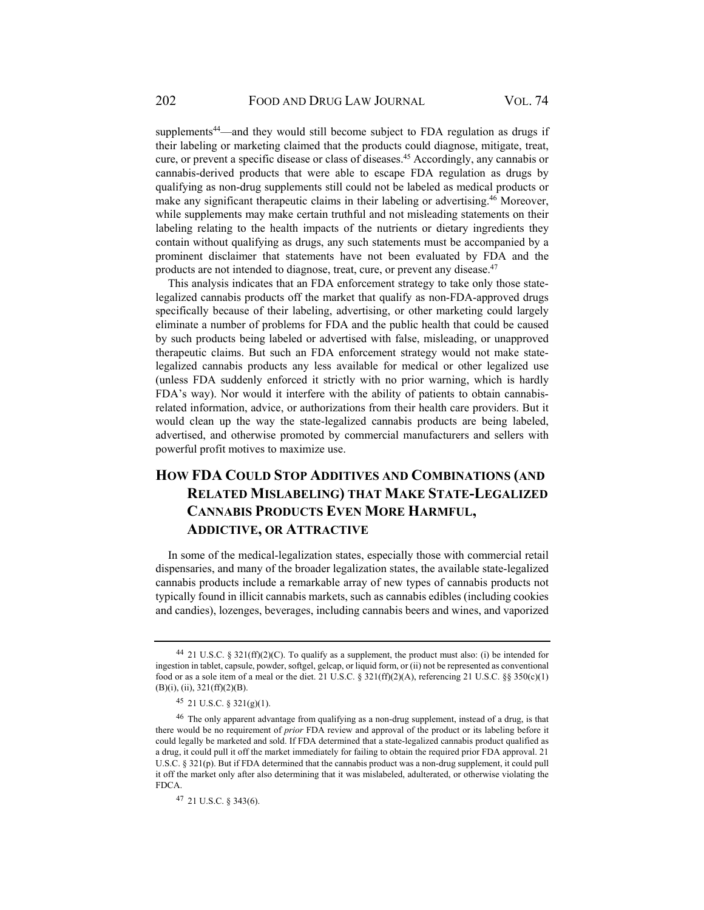supplements<sup>44</sup>—and they would still become subject to FDA regulation as drugs if their labeling or marketing claimed that the products could diagnose, mitigate, treat, cure, or prevent a specific disease or class of diseases.45 Accordingly, any cannabis or cannabis-derived products that were able to escape FDA regulation as drugs by qualifying as non-drug supplements still could not be labeled as medical products or make any significant therapeutic claims in their labeling or advertising.<sup>46</sup> Moreover, while supplements may make certain truthful and not misleading statements on their labeling relating to the health impacts of the nutrients or dietary ingredients they contain without qualifying as drugs, any such statements must be accompanied by a prominent disclaimer that statements have not been evaluated by FDA and the products are not intended to diagnose, treat, cure, or prevent any disease.<sup>47</sup>

This analysis indicates that an FDA enforcement strategy to take only those statelegalized cannabis products off the market that qualify as non-FDA-approved drugs specifically because of their labeling, advertising, or other marketing could largely eliminate a number of problems for FDA and the public health that could be caused by such products being labeled or advertised with false, misleading, or unapproved therapeutic claims. But such an FDA enforcement strategy would not make statelegalized cannabis products any less available for medical or other legalized use (unless FDA suddenly enforced it strictly with no prior warning, which is hardly FDA's way). Nor would it interfere with the ability of patients to obtain cannabisrelated information, advice, or authorizations from their health care providers. But it would clean up the way the state-legalized cannabis products are being labeled, advertised, and otherwise promoted by commercial manufacturers and sellers with powerful profit motives to maximize use.

# **HOW FDA COULD STOP ADDITIVES AND COMBINATIONS (AND RELATED MISLABELING) THAT MAKE STATE-LEGALIZED CANNABIS PRODUCTS EVEN MORE HARMFUL, ADDICTIVE, OR ATTRACTIVE**

In some of the medical-legalization states, especially those with commercial retail dispensaries, and many of the broader legalization states, the available state-legalized cannabis products include a remarkable array of new types of cannabis products not typically found in illicit cannabis markets, such as cannabis edibles (including cookies and candies), lozenges, beverages, including cannabis beers and wines, and vaporized

<sup>44 21</sup> U.S.C. § 321(ff)(2)(C). To qualify as a supplement, the product must also: (i) be intended for ingestion in tablet, capsule, powder, softgel, gelcap, or liquid form, or (ii) not be represented as conventional food or as a sole item of a meal or the diet. 21 U.S.C. § 321(ff)(2)(A), referencing 21 U.S.C. §§ 350(c)(1) (B)(i), (ii), 321(ff)(2)(B).

<sup>45 21</sup> U.S.C. § 321(g)(1).

<sup>46</sup> The only apparent advantage from qualifying as a non-drug supplement, instead of a drug, is that there would be no requirement of *prior* FDA review and approval of the product or its labeling before it could legally be marketed and sold. If FDA determined that a state-legalized cannabis product qualified as a drug, it could pull it off the market immediately for failing to obtain the required prior FDA approval. 21 U.S.C. § 321(p). But if FDA determined that the cannabis product was a non-drug supplement, it could pull it off the market only after also determining that it was mislabeled, adulterated, or otherwise violating the FDCA.

<sup>47 21</sup> U.S.C. § 343(6).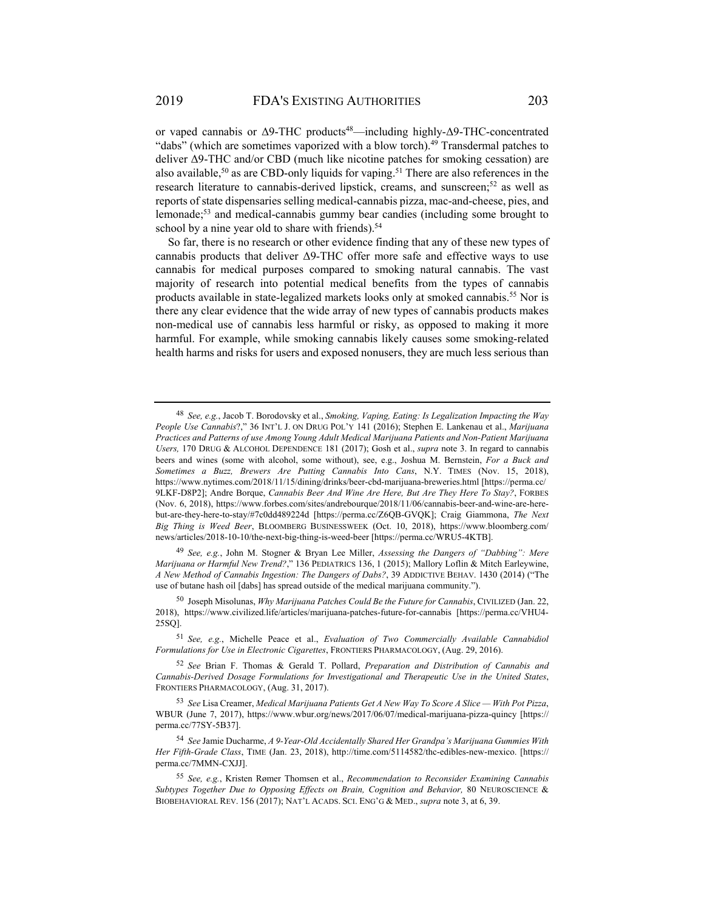or vaped cannabis or Δ9-THC products<sup>48</sup>—including highly-Δ9-THC-concentrated "dabs" (which are sometimes vaporized with a blow torch).<sup>49</sup> Transdermal patches to deliver Δ9-THC and/or CBD (much like nicotine patches for smoking cessation) are also available,<sup>50</sup> as are CBD-only liquids for vaping.<sup>51</sup> There are also references in the research literature to cannabis-derived lipstick, creams, and sunscreen;<sup>52</sup> as well as reports of state dispensaries selling medical-cannabis pizza, mac-and-cheese, pies, and lemonade;53 and medical-cannabis gummy bear candies (including some brought to school by a nine year old to share with friends).<sup>54</sup>

So far, there is no research or other evidence finding that any of these new types of cannabis products that deliver  $\Delta$ 9-THC offer more safe and effective ways to use cannabis for medical purposes compared to smoking natural cannabis. The vast majority of research into potential medical benefits from the types of cannabis products available in state-legalized markets looks only at smoked cannabis.55 Nor is there any clear evidence that the wide array of new types of cannabis products makes non-medical use of cannabis less harmful or risky, as opposed to making it more harmful. For example, while smoking cannabis likely causes some smoking-related health harms and risks for users and exposed nonusers, they are much less serious than

<sup>48</sup> *See, e.g.*, Jacob T. Borodovsky et al., *Smoking, Vaping, Eating: Is Legalization Impacting the Way People Use Cannabis*?," 36 INT'L J. ON DRUG POL'Y 141 (2016); Stephen E. Lankenau et al., *Marijuana Practices and Patterns of use Among Young Adult Medical Marijuana Patients and Non-Patient Marijuana Users,* 170 DRUG & ALCOHOL DEPENDENCE 181 (2017); Gosh et al., *supra* note 3. In regard to cannabis beers and wines (some with alcohol, some without), see, e.g., Joshua M. Bernstein, *For a Buck and Sometimes a Buzz, Brewers Are Putting Cannabis Into Cans*, N.Y. TIMES (Nov. 15, 2018), https://www.nytimes.com/2018/11/15/dining/drinks/beer-cbd-marijuana-breweries.html [https://perma.cc/ 9LKF-D8P2]; Andre Borque, *Cannabis Beer And Wine Are Here, But Are They Here To Stay?*, FORBES (Nov. 6, 2018), https://www.forbes.com/sites/andrebourque/2018/11/06/cannabis-beer-and-wine-are-herebut-are-they-here-to-stay/#7c0dd489224d [https://perma.cc/Z6QB-GVQK]; Craig Giammona, *The Next Big Thing is Weed Beer*, BLOOMBERG BUSINESSWEEK (Oct. 10, 2018), https://www.bloomberg.com/ news/articles/2018-10-10/the-next-big-thing-is-weed-beer [https://perma.cc/WRU5-4KTB].

<sup>49</sup> *See, e.g.*, John M. Stogner & Bryan Lee Miller, *Assessing the Dangers of "Dabbing": Mere Marijuana or Harmful New Trend?*," 136 PEDIATRICS 136, 1 (2015); Mallory Loflin & Mitch Earleywine, *A New Method of Cannabis Ingestion: The Dangers of Dabs?*, 39 ADDICTIVE BEHAV. 1430 (2014) ("The use of butane hash oil [dabs] has spread outside of the medical marijuana community.").

<sup>50</sup> Joseph Misolunas, *Why Marijuana Patches Could Be the Future for Cannabis*, CIVILIZED (Jan. 22, 2018), https://www.civilized.life/articles/marijuana-patches-future-for-cannabis [https://perma.cc/VHU4- 25SQ].

<sup>51</sup> *See, e.g.*, Michelle Peace et al., *Evaluation of Two Commercially Available Cannabidiol Formulations for Use in Electronic Cigarettes*, FRONTIERS PHARMACOLOGY, (Aug. 29, 2016).

<sup>52</sup> *See* Brian F. Thomas & Gerald T. Pollard, *Preparation and Distribution of Cannabis and Cannabis-Derived Dosage Formulations for Investigational and Therapeutic Use in the United States*, FRONTIERS PHARMACOLOGY, (Aug. 31, 2017).

<sup>53</sup> *See* Lisa Creamer, *Medical Marijuana Patients Get A New Way To Score A Slice — With Pot Pizza*, WBUR (June 7, 2017), https://www.wbur.org/news/2017/06/07/medical-marijuana-pizza-quincy [https:// perma.cc/77SY-5B37].

<sup>54</sup> *See* Jamie Ducharme, *A 9-Year-Old Accidentally Shared Her Grandpa's Marijuana Gummies With Her Fifth-Grade Class*, TIME (Jan. 23, 2018), http://time.com/5114582/thc-edibles-new-mexico. [https:// perma.cc/7MMN-CXJJ].

<sup>55</sup> *See, e.g.*, Kristen Rømer Thomsen et al., *Recommendation to Reconsider Examining Cannabis Subtypes Together Due to Opposing Effects on Brain, Cognition and Behavior,* 80 NEUROSCIENCE & BIOBEHAVIORAL REV. 156 (2017); NAT'L ACADS. SCI. ENG'G & MED., *supra* note 3, at 6, 39.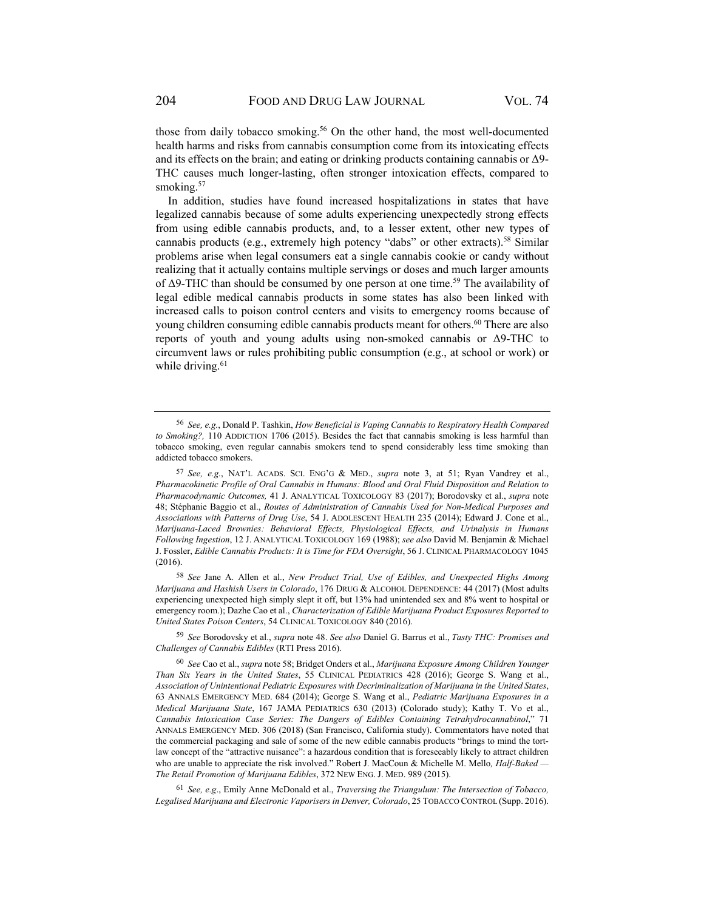those from daily tobacco smoking.<sup>56</sup> On the other hand, the most well-documented health harms and risks from cannabis consumption come from its intoxicating effects and its effects on the brain; and eating or drinking products containing cannabis or  $\Delta$ 9-THC causes much longer-lasting, often stronger intoxication effects, compared to smoking.<sup>57</sup>

In addition, studies have found increased hospitalizations in states that have legalized cannabis because of some adults experiencing unexpectedly strong effects from using edible cannabis products, and, to a lesser extent, other new types of cannabis products (e.g., extremely high potency "dabs" or other extracts).<sup>58</sup> Similar problems arise when legal consumers eat a single cannabis cookie or candy without realizing that it actually contains multiple servings or doses and much larger amounts of  $\Delta$ 9-THC than should be consumed by one person at one time.<sup>59</sup> The availability of legal edible medical cannabis products in some states has also been linked with increased calls to poison control centers and visits to emergency rooms because of young children consuming edible cannabis products meant for others.60 There are also reports of youth and young adults using non-smoked cannabis or Δ9-THC to circumvent laws or rules prohibiting public consumption (e.g., at school or work) or while driving.<sup>61</sup>

<sup>58</sup> *See* Jane A. Allen et al., *New Product Trial, Use of Edibles, and Unexpected Highs Among Marijuana and Hashish Users in Colorado*, 176 DRUG & ALCOHOL DEPENDENCE: 44 (2017) (Most adults experiencing unexpected high simply slept it off, but 13% had unintended sex and 8% went to hospital or emergency room.); Dazhe Cao et al., *Characterization of Edible Marijuana Product Exposures Reported to United States Poison Centers*, 54 CLINICAL TOXICOLOGY 840 (2016).

<sup>59</sup> *See* Borodovsky et al., *supra* note 48. *See also* Daniel G. Barrus et al., *Tasty THC: Promises and Challenges of Cannabis Edibles* (RTI Press 2016).

<sup>61</sup> *See, e.g*., Emily Anne McDonald et al., *Traversing the Triangulum: The Intersection of Tobacco, Legalised Marijuana and Electronic Vaporisers in Denver, Colorado*, 25 TOBACCO CONTROL (Supp. 2016).

<sup>56</sup> *See, e.g.*, Donald P. Tashkin, *How Beneficial is Vaping Cannabis to Respiratory Health Compared to Smoking?,* 110 ADDICTION 1706 (2015). Besides the fact that cannabis smoking is less harmful than tobacco smoking, even regular cannabis smokers tend to spend considerably less time smoking than addicted tobacco smokers.

<sup>57</sup> *See, e.g.*, NAT'L ACADS. SCI. ENG'G & MED., *supra* note 3, at 51; Ryan Vandrey et al., *Pharmacokinetic Profile of Oral Cannabis in Humans: Blood and Oral Fluid Disposition and Relation to Pharmacodynamic Outcomes,* 41 J. ANALYTICAL TOXICOLOGY 83 (2017); Borodovsky et al., *supra* note 48; Stéphanie Baggio et al., *Routes of Administration of Cannabis Used for Non-Medical Purposes and Associations with Patterns of Drug Use*, 54 J. ADOLESCENT HEALTH 235 (2014); Edward J. Cone et al., *Marijuana-Laced Brownies: Behavioral Effects, Physiological Effects, and Urinalysis in Humans Following Ingestion*, 12 J. ANALYTICAL TOXICOLOGY 169 (1988); *see also* David M. Benjamin & Michael J. Fossler, *Edible Cannabis Products: It is Time for FDA Oversight*, 56 J. CLINICAL PHARMACOLOGY 1045 (2016).

<sup>60</sup> *See* Cao et al., *supra* note 58; Bridget Onders et al., *Marijuana Exposure Among Children Younger Than Six Years in the United States*, 55 CLINICAL PEDIATRICS 428 (2016); George S. Wang et al., *Association of Unintentional Pediatric Exposures with Decriminalization of Marijuana in the United States*, 63 ANNALS EMERGENCY MED. 684 (2014); George S. Wang et al., *Pediatric Marijuana Exposures in a Medical Marijuana State*, 167 JAMA PEDIATRICS 630 (2013) (Colorado study); Kathy T. Vo et al., *Cannabis Intoxication Case Series: The Dangers of Edibles Containing Tetrahydrocannabinol*," 71 ANNALS EMERGENCY MED. 306 (2018) (San Francisco, California study). Commentators have noted that the commercial packaging and sale of some of the new edible cannabis products "brings to mind the tortlaw concept of the "attractive nuisance": a hazardous condition that is foreseeably likely to attract children who are unable to appreciate the risk involved." Robert J. MacCoun & Michelle M. Mello, *Half-Baked* -*The Retail Promotion of Marijuana Edibles*, 372 NEW ENG. J. MED. 989 (2015).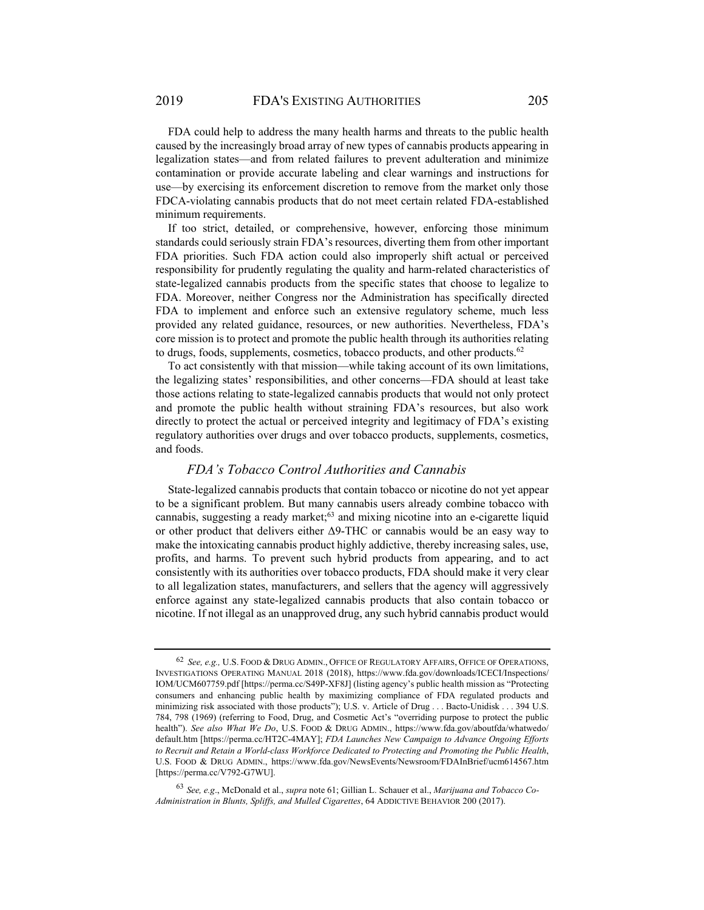FDA could help to address the many health harms and threats to the public health caused by the increasingly broad array of new types of cannabis products appearing in legalization states—and from related failures to prevent adulteration and minimize contamination or provide accurate labeling and clear warnings and instructions for use—by exercising its enforcement discretion to remove from the market only those FDCA-violating cannabis products that do not meet certain related FDA-established minimum requirements.

If too strict, detailed, or comprehensive, however, enforcing those minimum standards could seriously strain FDA's resources, diverting them from other important FDA priorities. Such FDA action could also improperly shift actual or perceived responsibility for prudently regulating the quality and harm-related characteristics of state-legalized cannabis products from the specific states that choose to legalize to FDA. Moreover, neither Congress nor the Administration has specifically directed FDA to implement and enforce such an extensive regulatory scheme, much less provided any related guidance, resources, or new authorities. Nevertheless, FDA's core mission is to protect and promote the public health through its authorities relating to drugs, foods, supplements, cosmetics, tobacco products, and other products.<sup>62</sup>

To act consistently with that mission—while taking account of its own limitations, the legalizing states' responsibilities, and other concerns—FDA should at least take those actions relating to state-legalized cannabis products that would not only protect and promote the public health without straining FDA's resources, but also work directly to protect the actual or perceived integrity and legitimacy of FDA's existing regulatory authorities over drugs and over tobacco products, supplements, cosmetics, and foods.

### *FDA's Tobacco Control Authorities and Cannabis*

State-legalized cannabis products that contain tobacco or nicotine do not yet appear to be a significant problem. But many cannabis users already combine tobacco with cannabis, suggesting a ready market;63 and mixing nicotine into an e-cigarette liquid or other product that delivers either Δ9-THC or cannabis would be an easy way to make the intoxicating cannabis product highly addictive, thereby increasing sales, use, profits, and harms. To prevent such hybrid products from appearing, and to act consistently with its authorities over tobacco products, FDA should make it very clear to all legalization states, manufacturers, and sellers that the agency will aggressively enforce against any state-legalized cannabis products that also contain tobacco or nicotine. If not illegal as an unapproved drug, any such hybrid cannabis product would

<sup>62</sup> *See, e.g.,* U.S. FOOD & DRUG ADMIN., OFFICE OF REGULATORY AFFAIRS, OFFICE OF OPERATIONS, INVESTIGATIONS OPERATING MANUAL 2018 (2018), https://www.fda.gov/downloads/ICECI/Inspections/ IOM/UCM607759.pdf [https://perma.cc/S49P-XF8J] (listing agency's public health mission as "Protecting consumers and enhancing public health by maximizing compliance of FDA regulated products and minimizing risk associated with those products"); U.S. v. Article of Drug . . . Bacto-Unidisk . . . 394 U.S. 784, 798 (1969) (referring to Food, Drug, and Cosmetic Act's "overriding purpose to protect the public health"). *See also What We Do*, U.S. FOOD & DRUG ADMIN., https://www.fda.gov/aboutfda/whatwedo/ default.htm [https://perma.cc/HT2C-4MAY]; *FDA Launches New Campaign to Advance Ongoing Efforts to Recruit and Retain a World-class Workforce Dedicated to Protecting and Promoting the Public Health*, U.S. FOOD & DRUG ADMIN., https://www.fda.gov/NewsEvents/Newsroom/FDAInBrief/ucm614567.htm [https://perma.cc/V792-G7WU].

<sup>63</sup> *See, e.g*., McDonald et al., *supra* note 61; Gillian L. Schauer et al., *Marijuana and Tobacco Co-Administration in Blunts, Spliffs, and Mulled Cigarettes*, 64 ADDICTIVE BEHAVIOR 200 (2017).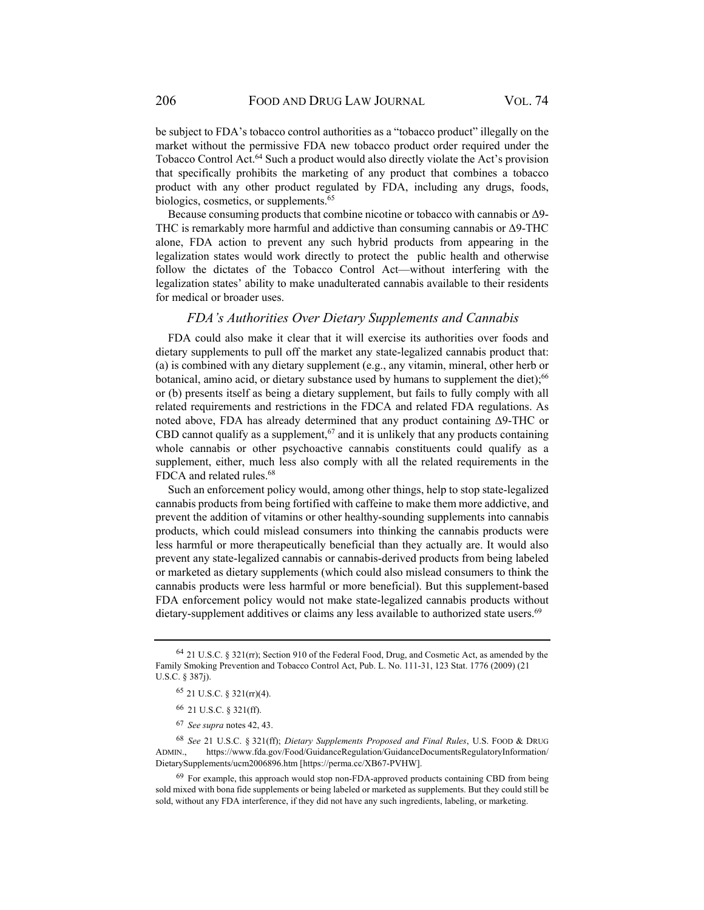be subject to FDA's tobacco control authorities as a "tobacco product" illegally on the market without the permissive FDA new tobacco product order required under the Tobacco Control Act.64 Such a product would also directly violate the Act's provision that specifically prohibits the marketing of any product that combines a tobacco product with any other product regulated by FDA, including any drugs, foods, biologics, cosmetics, or supplements.<sup>65</sup>

Because consuming products that combine nicotine or tobacco with cannabis or Δ9- THC is remarkably more harmful and addictive than consuming cannabis or Δ9-THC alone, FDA action to prevent any such hybrid products from appearing in the legalization states would work directly to protect the public health and otherwise follow the dictates of the Tobacco Control Act—without interfering with the legalization states' ability to make unadulterated cannabis available to their residents for medical or broader uses.

### *FDA's Authorities Over Dietary Supplements and Cannabis*

FDA could also make it clear that it will exercise its authorities over foods and dietary supplements to pull off the market any state-legalized cannabis product that: (a) is combined with any dietary supplement (e.g., any vitamin, mineral, other herb or botanical, amino acid, or dietary substance used by humans to supplement the diet);<sup>66</sup> or (b) presents itself as being a dietary supplement, but fails to fully comply with all related requirements and restrictions in the FDCA and related FDA regulations. As noted above, FDA has already determined that any product containing Δ9-THC or CBD cannot qualify as a supplement,  $67$  and it is unlikely that any products containing whole cannabis or other psychoactive cannabis constituents could qualify as a supplement, either, much less also comply with all the related requirements in the FDCA and related rules.<sup>68</sup>

Such an enforcement policy would, among other things, help to stop state-legalized cannabis products from being fortified with caffeine to make them more addictive, and prevent the addition of vitamins or other healthy-sounding supplements into cannabis products, which could mislead consumers into thinking the cannabis products were less harmful or more therapeutically beneficial than they actually are. It would also prevent any state-legalized cannabis or cannabis-derived products from being labeled or marketed as dietary supplements (which could also mislead consumers to think the cannabis products were less harmful or more beneficial). But this supplement-based FDA enforcement policy would not make state-legalized cannabis products without dietary-supplement additives or claims any less available to authorized state users.<sup>69</sup>

<sup>64 21</sup> U.S.C. § 321(rr); Section 910 of the Federal Food, Drug, and Cosmetic Act, as amended by the Family Smoking Prevention and Tobacco Control Act, Pub. L. No. 111-31, 123 Stat. 1776 (2009) (21 U.S.C. § 387j).

 $65$  21 U.S.C. § 321(rr)(4).

<sup>66 21</sup> U.S.C. § 321(ff).

<sup>67</sup> *See supra* notes 42, 43.

<sup>68</sup> *See* 21 U.S.C. § 321(ff); *Dietary Supplements Proposed and Final Rules*, U.S. FOOD & DRUG ADMIN., https://www.fda.gov/Food/GuidanceRegulation/GuidanceDocumentsRegulatoryInformation/ DietarySupplements/ucm2006896.htm [https://perma.cc/XB67-PVHW].

<sup>&</sup>lt;sup>69</sup> For example, this approach would stop non-FDA-approved products containing CBD from being sold mixed with bona fide supplements or being labeled or marketed as supplements. But they could still be sold, without any FDA interference, if they did not have any such ingredients, labeling, or marketing.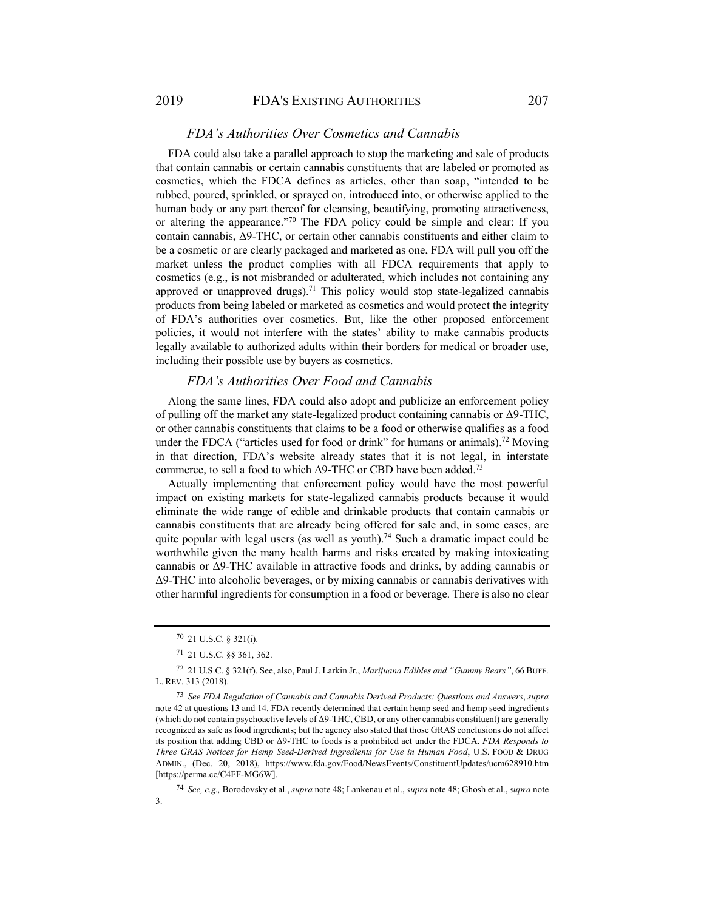### *FDA's Authorities Over Cosmetics and Cannabis*

FDA could also take a parallel approach to stop the marketing and sale of products that contain cannabis or certain cannabis constituents that are labeled or promoted as cosmetics, which the FDCA defines as articles, other than soap, "intended to be rubbed, poured, sprinkled, or sprayed on, introduced into, or otherwise applied to the human body or any part thereof for cleansing, beautifying, promoting attractiveness, or altering the appearance."70 The FDA policy could be simple and clear: If you contain cannabis, Δ9-THC, or certain other cannabis constituents and either claim to be a cosmetic or are clearly packaged and marketed as one, FDA will pull you off the market unless the product complies with all FDCA requirements that apply to cosmetics (e.g., is not misbranded or adulterated, which includes not containing any approved or unapproved drugs).<sup>71</sup> This policy would stop state-legalized cannabis products from being labeled or marketed as cosmetics and would protect the integrity of FDA's authorities over cosmetics. But, like the other proposed enforcement policies, it would not interfere with the states' ability to make cannabis products legally available to authorized adults within their borders for medical or broader use, including their possible use by buyers as cosmetics.

### *FDA's Authorities Over Food and Cannabis*

Along the same lines, FDA could also adopt and publicize an enforcement policy of pulling off the market any state-legalized product containing cannabis or Δ9-THC, or other cannabis constituents that claims to be a food or otherwise qualifies as a food under the FDCA ("articles used for food or drink" for humans or animals).<sup>72</sup> Moving in that direction, FDA's website already states that it is not legal, in interstate commerce, to sell a food to which  $\Delta$ 9-THC or CBD have been added.<sup>73</sup>

Actually implementing that enforcement policy would have the most powerful impact on existing markets for state-legalized cannabis products because it would eliminate the wide range of edible and drinkable products that contain cannabis or cannabis constituents that are already being offered for sale and, in some cases, are quite popular with legal users (as well as youth).<sup>74</sup> Such a dramatic impact could be worthwhile given the many health harms and risks created by making intoxicating cannabis or Δ9-THC available in attractive foods and drinks, by adding cannabis or Δ9-THC into alcoholic beverages, or by mixing cannabis or cannabis derivatives with other harmful ingredients for consumption in a food or beverage. There is also no clear

<sup>70 21</sup> U.S.C. § 321(i).

<sup>71 21</sup> U.S.C. §§ 361, 362.

<sup>72 21</sup> U.S.C. § 321(f). See, also, Paul J. Larkin Jr., *Marijuana Edibles and "Gummy Bears"*, 66 BUFF. L. REV. 313 (2018).

<sup>73</sup> *See FDA Regulation of Cannabis and Cannabis Derived Products: Questions and Answers*, *supra* note 42 at questions 13 and 14. FDA recently determined that certain hemp seed and hemp seed ingredients (which do not contain psychoactive levels of Δ9-THC, CBD, or any other cannabis constituent) are generally recognized as safe as food ingredients; but the agency also stated that those GRAS conclusions do not affect its position that adding CBD or Δ9-THC to foods is a prohibited act under the FDCA. *FDA Responds to Three GRAS Notices for Hemp Seed-Derived Ingredients for Use in Human Food*, U.S. FOOD & DRUG ADMIN., (Dec. 20, 2018), https://www.fda.gov/Food/NewsEvents/ConstituentUpdates/ucm628910.htm [https://perma.cc/C4FF-MG6W].

<sup>74</sup> *See, e.g.,* Borodovsky et al., *supra* note 48; Lankenau et al., *supra* note 48; Ghosh et al., *supra* note 3.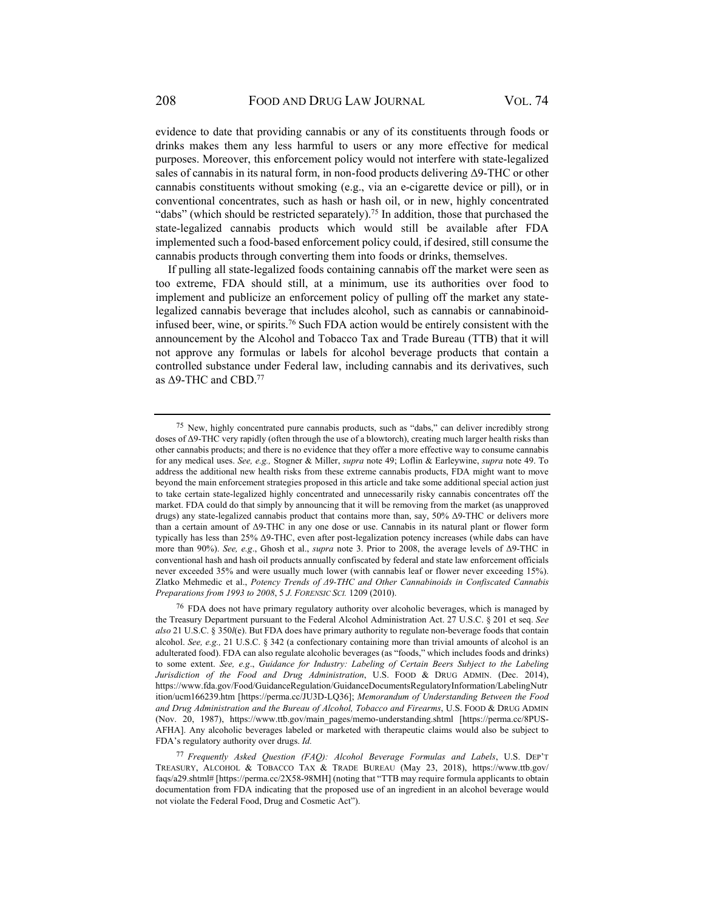evidence to date that providing cannabis or any of its constituents through foods or drinks makes them any less harmful to users or any more effective for medical purposes. Moreover, this enforcement policy would not interfere with state-legalized sales of cannabis in its natural form, in non-food products delivering Δ9-THC or other cannabis constituents without smoking (e.g., via an e-cigarette device or pill), or in conventional concentrates, such as hash or hash oil, or in new, highly concentrated "dabs" (which should be restricted separately).<sup>75</sup> In addition, those that purchased the state-legalized cannabis products which would still be available after FDA implemented such a food-based enforcement policy could, if desired, still consume the cannabis products through converting them into foods or drinks, themselves.

If pulling all state-legalized foods containing cannabis off the market were seen as too extreme, FDA should still, at a minimum, use its authorities over food to implement and publicize an enforcement policy of pulling off the market any statelegalized cannabis beverage that includes alcohol, such as cannabis or cannabinoidinfused beer, wine, or spirits.<sup>76</sup> Such FDA action would be entirely consistent with the announcement by the Alcohol and Tobacco Tax and Trade Bureau (TTB) that it will not approve any formulas or labels for alcohol beverage products that contain a controlled substance under Federal law, including cannabis and its derivatives, such as  $\Delta$ 9-THC and CBD.<sup>77</sup>

<sup>75</sup> New, highly concentrated pure cannabis products, such as "dabs," can deliver incredibly strong doses of Δ9-THC very rapidly (often through the use of a blowtorch), creating much larger health risks than other cannabis products; and there is no evidence that they offer a more effective way to consume cannabis for any medical uses. *See, e.g.,* Stogner & Miller, *supra* note 49; Loflin & Earleywine, *supra* note 49. To address the additional new health risks from these extreme cannabis products, FDA might want to move beyond the main enforcement strategies proposed in this article and take some additional special action just to take certain state-legalized highly concentrated and unnecessarily risky cannabis concentrates off the market. FDA could do that simply by announcing that it will be removing from the market (as unapproved drugs) any state-legalized cannabis product that contains more than, say, 50% Δ9-THC or delivers more than a certain amount of Δ9-THC in any one dose or use. Cannabis in its natural plant or flower form typically has less than 25% Δ9-THC, even after post-legalization potency increases (while dabs can have more than 90%). *See, e.g*., Ghosh et al., *supra* note 3. Prior to 2008, the average levels of Δ9-THC in conventional hash and hash oil products annually confiscated by federal and state law enforcement officials never exceeded 35% and were usually much lower (with cannabis leaf or flower never exceeding 15%). Zlatko Mehmedic et al., *Potency Trends of Δ9‐THC and Other Cannabinoids in Confiscated Cannabis Preparations from 1993 to 2008*, 5 *J. FORENSIC SCI.* 1209 (2010).

<sup>&</sup>lt;sup>76</sup> FDA does not have primary regulatory authority over alcoholic beverages, which is managed by the Treasury Department pursuant to the Federal Alcohol Administration Act. 27 U.S.C. § 201 et seq. *See also* 21 U.S.C. § 350*l*(e). But FDA does have primary authority to regulate non-beverage foods that contain alcohol. *See, e.g.,* 21 U.S.C. § 342 (a confectionary containing more than trivial amounts of alcohol is an adulterated food). FDA can also regulate alcoholic beverages (as "foods," which includes foods and drinks) to some extent. *See, e.g*., *Guidance for Industry: Labeling of Certain Beers Subject to the Labeling Jurisdiction of the Food and Drug Administration*, U.S. FOOD & DRUG ADMIN. (Dec. 2014), https://www.fda.gov/Food/GuidanceRegulation/GuidanceDocumentsRegulatoryInformation/LabelingNutr ition/ucm166239.htm [https://perma.cc/JU3D-LQ36]; *Memorandum of Understanding Between the Food and Drug Administration and the Bureau of Alcohol, Tobacco and Firearms*, U.S. FOOD & DRUG ADMIN (Nov. 20, 1987), https://www.ttb.gov/main\_pages/memo-understanding.shtml [https://perma.cc/8PUS-AFHA]. Any alcoholic beverages labeled or marketed with therapeutic claims would also be subject to FDA's regulatory authority over drugs. *Id.*

<sup>77</sup> *Frequently Asked Question (FAQ): Alcohol Beverage Formulas and Labels*, U.S. DEP'T TREASURY, ALCOHOL & TOBACCO TAX & TRADE BUREAU (May 23, 2018), https://www.ttb.gov/ faqs/a29.shtml# [https://perma.cc/2X58-98MH] (noting that "TTB may require formula applicants to obtain documentation from FDA indicating that the proposed use of an ingredient in an alcohol beverage would not violate the Federal Food, Drug and Cosmetic Act").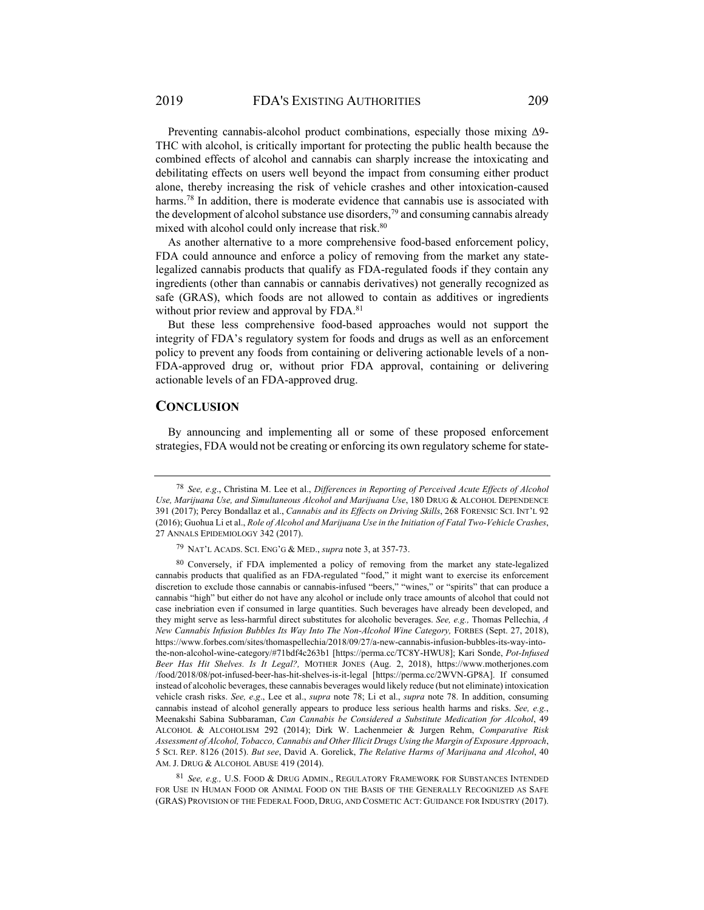Preventing cannabis-alcohol product combinations, especially those mixing Δ9- THC with alcohol, is critically important for protecting the public health because the combined effects of alcohol and cannabis can sharply increase the intoxicating and debilitating effects on users well beyond the impact from consuming either product alone, thereby increasing the risk of vehicle crashes and other intoxication-caused harms.<sup>78</sup> In addition, there is moderate evidence that cannabis use is associated with the development of alcohol substance use disorders,  $\frac{79}{9}$  and consuming cannabis already mixed with alcohol could only increase that risk.<sup>80</sup>

As another alternative to a more comprehensive food-based enforcement policy, FDA could announce and enforce a policy of removing from the market any statelegalized cannabis products that qualify as FDA-regulated foods if they contain any ingredients (other than cannabis or cannabis derivatives) not generally recognized as safe (GRAS), which foods are not allowed to contain as additives or ingredients without prior review and approval by FDA.<sup>81</sup>

But these less comprehensive food-based approaches would not support the integrity of FDA's regulatory system for foods and drugs as well as an enforcement policy to prevent any foods from containing or delivering actionable levels of a non-FDA-approved drug or, without prior FDA approval, containing or delivering actionable levels of an FDA-approved drug.

### **CONCLUSION**

By announcing and implementing all or some of these proposed enforcement strategies, FDA would not be creating or enforcing its own regulatory scheme for state-

<sup>81</sup> *See, e.g.,* U.S. FOOD & DRUG ADMIN., REGULATORY FRAMEWORK FOR SUBSTANCES INTENDED FOR USE IN HUMAN FOOD OR ANIMAL FOOD ON THE BASIS OF THE GENERALLY RECOGNIZED AS SAFE (GRAS) PROVISION OF THE FEDERAL FOOD, DRUG, AND COSMETIC ACT: GUIDANCE FOR INDUSTRY (2017).

<sup>78</sup> *See, e.g*., Christina M. Lee et al., *Differences in Reporting of Perceived Acute Effects of Alcohol Use, Marijuana Use, and Simultaneous Alcohol and Marijuana Use*, 180 DRUG & ALCOHOL DEPENDENCE 391 (2017); Percy Bondallaz et al., *Cannabis and its Effects on Driving Skills*, 268 FORENSIC SCI. INT'L 92 (2016); Guohua Li et al., *Role of Alcohol and Marijuana Use in the Initiation of Fatal Two-Vehicle Crashes*, 27 ANNALS EPIDEMIOLOGY 342 (2017).

<sup>79</sup> NAT'L ACADS. SCI. ENG'G & MED., *supra* note 3, at 357-73.

<sup>80</sup> Conversely, if FDA implemented a policy of removing from the market any state-legalized cannabis products that qualified as an FDA-regulated "food," it might want to exercise its enforcement discretion to exclude those cannabis or cannabis-infused "beers," "wines," or "spirits" that can produce a cannabis "high" but either do not have any alcohol or include only trace amounts of alcohol that could not case inebriation even if consumed in large quantities. Such beverages have already been developed, and they might serve as less-harmful direct substitutes for alcoholic beverages. *See, e.g.,* Thomas Pellechia, *A New Cannabis Infusion Bubbles Its Way Into The Non-Alcohol Wine Category,* FORBES (Sept. 27, 2018), https://www.forbes.com/sites/thomaspellechia/2018/09/27/a-new-cannabis-infusion-bubbles-its-way-intothe-non-alcohol-wine-category/#71bdf4c263b1 [https://perma.cc/TC8Y-HWU8]; Kari Sonde, *Pot-Infused Beer Has Hit Shelves. Is It Legal?,* MOTHER JONES (Aug. 2, 2018), https://www.motherjones.com /food/2018/08/pot-infused-beer-has-hit-shelves-is-it-legal [https://perma.cc/2WVN-GP8A]. If consumed instead of alcoholic beverages, these cannabis beverages would likely reduce (but not eliminate) intoxication vehicle crash risks. *See, e.g*., Lee et al., *supra* note 78; Li et al., *supra* note 78. In addition, consuming cannabis instead of alcohol generally appears to produce less serious health harms and risks. *See, e.g.*, Meenakshi Sabina Subbaraman, *Can Cannabis be Considered a Substitute Medication for Alcohol*, 49 ALCOHOL & ALCOHOLISM 292 (2014); Dirk W. Lachenmeier & Jurgen Rehm, *Comparative Risk Assessment of Alcohol, Tobacco, Cannabis and Other Illicit Drugs Using the Margin of Exposure Approach*, 5 SCI. REP. 8126 (2015). *But see*, David A. Gorelick, *The Relative Harms of Marijuana and Alcohol*, 40 AM. J. DRUG & ALCOHOL ABUSE 419 (2014).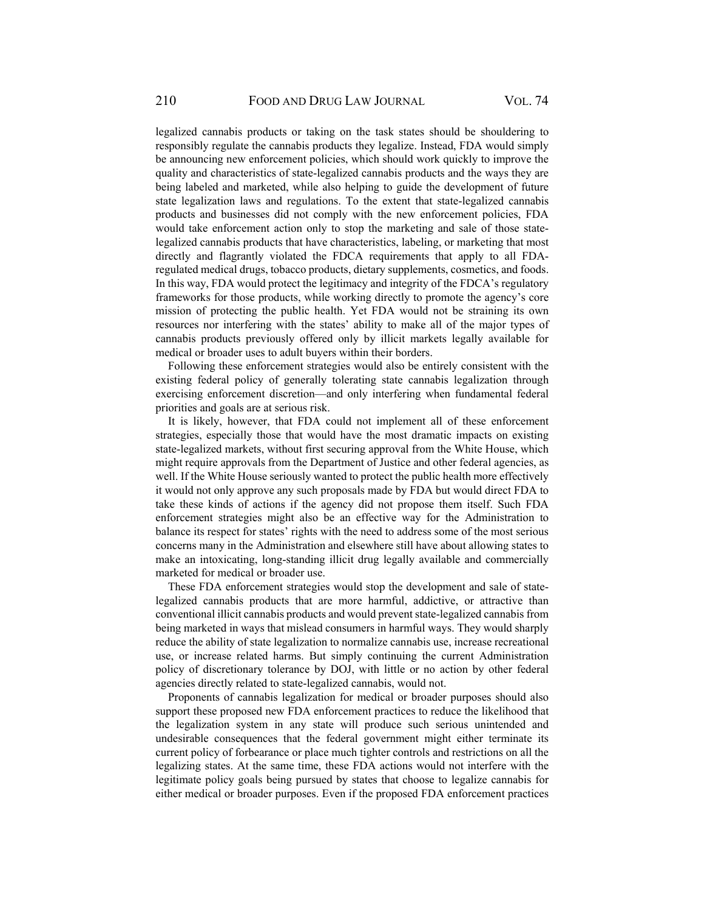legalized cannabis products or taking on the task states should be shouldering to responsibly regulate the cannabis products they legalize. Instead, FDA would simply be announcing new enforcement policies, which should work quickly to improve the quality and characteristics of state-legalized cannabis products and the ways they are being labeled and marketed, while also helping to guide the development of future state legalization laws and regulations. To the extent that state-legalized cannabis products and businesses did not comply with the new enforcement policies, FDA would take enforcement action only to stop the marketing and sale of those statelegalized cannabis products that have characteristics, labeling, or marketing that most directly and flagrantly violated the FDCA requirements that apply to all FDAregulated medical drugs, tobacco products, dietary supplements, cosmetics, and foods. In this way, FDA would protect the legitimacy and integrity of the FDCA's regulatory frameworks for those products, while working directly to promote the agency's core mission of protecting the public health. Yet FDA would not be straining its own resources nor interfering with the states' ability to make all of the major types of cannabis products previously offered only by illicit markets legally available for medical or broader uses to adult buyers within their borders.

Following these enforcement strategies would also be entirely consistent with the existing federal policy of generally tolerating state cannabis legalization through exercising enforcement discretion—and only interfering when fundamental federal priorities and goals are at serious risk.

It is likely, however, that FDA could not implement all of these enforcement strategies, especially those that would have the most dramatic impacts on existing state-legalized markets, without first securing approval from the White House, which might require approvals from the Department of Justice and other federal agencies, as well. If the White House seriously wanted to protect the public health more effectively it would not only approve any such proposals made by FDA but would direct FDA to take these kinds of actions if the agency did not propose them itself. Such FDA enforcement strategies might also be an effective way for the Administration to balance its respect for states' rights with the need to address some of the most serious concerns many in the Administration and elsewhere still have about allowing states to make an intoxicating, long-standing illicit drug legally available and commercially marketed for medical or broader use.

These FDA enforcement strategies would stop the development and sale of statelegalized cannabis products that are more harmful, addictive, or attractive than conventional illicit cannabis products and would prevent state-legalized cannabis from being marketed in ways that mislead consumers in harmful ways. They would sharply reduce the ability of state legalization to normalize cannabis use, increase recreational use, or increase related harms. But simply continuing the current Administration policy of discretionary tolerance by DOJ, with little or no action by other federal agencies directly related to state-legalized cannabis, would not.

Proponents of cannabis legalization for medical or broader purposes should also support these proposed new FDA enforcement practices to reduce the likelihood that the legalization system in any state will produce such serious unintended and undesirable consequences that the federal government might either terminate its current policy of forbearance or place much tighter controls and restrictions on all the legalizing states. At the same time, these FDA actions would not interfere with the legitimate policy goals being pursued by states that choose to legalize cannabis for either medical or broader purposes. Even if the proposed FDA enforcement practices